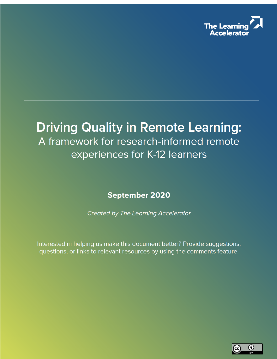

# **Driving Quality in Remote Learning:** A framework for research-informed remote experiences for K-12 learners

**September 2020** 

**Created by The Learning Accelerator** 

Interested in helping us make this document better? Provide suggestions, questions, or links to relevant resources by using the comments feature.

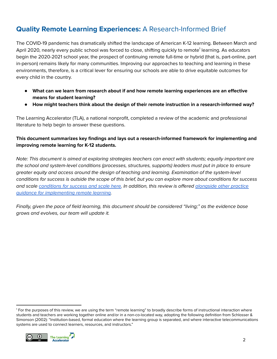# **Quality Remote Learning Experiences:** A Research-Informed Brief

The COVID-19 pandemic has dramatically shifted the landscape of American K-12 learning. Between March and April 2020, nearly every public school was forced to close, shifting quickly to remote<sup>1</sup> learning. As educators begin the 2020-2021 school year, the prospect of continuing remote full-time or hybrid (that is, part-online, part in-person) remains likely for many communities. Improving our approaches to teaching and learning in these environments, therefore, is a critical lever for ensuring our schools are able to drive equitable outcomes for every child in the country.

- **● What can we learn from research about if and how remote learning experiences are an effective means for student learning?**
- **● How might teachers think about the design of their remote instruction in a research-informed way?**

The Learning Accelerator (TLA), a national nonprofit, completed a review of the academic and professional literature to help begin to answer these questions.

### **This document summarizes key findings and lays out a research-informed framework for implementing and improving remote learning for K-12 students.**

Note: This document is aimed at exploring strategies teachers can enact with students; equally important are the school and system-level conditions (processes, structures, supports) leaders must put in place to ensure greater equity and access around the design of teaching and learning. Examination of the system-level conditions for success is outside the scope of this brief, but you can explore more about conditions for success and scale [conditions](https://practices.learningaccelerator.org/do/conditions-for-success-scale/learning-materials-tools?subtopic=&grade=&audience=&stage=) for success and scale here. In addition, this review is offered [alongside](https://practices.learningaccelerator.org/learn/how-can-blended-learning-work-in-remote-setting) other practice guidance for [implementing](https://practices.learningaccelerator.org/learn/how-can-blended-learning-work-in-remote-setting) remote learning.

Finally, given the pace of field learning, this document should be considered "living;" as the evidence base grows and evolves, our team will update it.

<sup>1</sup> For the purposes of this review, we are using the term "remote learning" to broadly describe forms of instructional interaction where students and teachers are working together online and/or in a non-co-located way, adopting the following definition from Schlosser & Simonson (2002): "Institution-based, formal education where the learning group is separated, and where interactive telecommunications systems are used to connect learners, resources, and instructors."

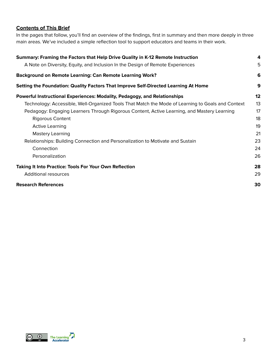### **Contents of This Brief**

In the pages that follow, you'll find an overview of the findings, first in summary and then more deeply in three main areas. We've included a simple reflection tool to support educators and teams in their work.

| Summary: Framing the Factors that Help Drive Quality in K-12 Remote Instruction                   |    |  |
|---------------------------------------------------------------------------------------------------|----|--|
| A Note on Diversity, Equity, and Inclusion In the Design of Remote Experiences                    | 5  |  |
| <b>Background on Remote Learning: Can Remote Learning Work?</b>                                   | 6  |  |
| Setting the Foundation: Quality Factors That Improve Self-Directed Learning At Home               | 9  |  |
| Powerful Instructional Experiences: Modality, Pedagogy, and Relationships                         | 12 |  |
| Technology: Accessible, Well-Organized Tools That Match the Mode of Learning to Goals and Context | 13 |  |
| Pedagogy: Engaging Learners Through Rigorous Content, Active Learning, and Mastery Learning       | 17 |  |
| <b>Rigorous Content</b>                                                                           | 18 |  |
| <b>Active Learning</b>                                                                            | 19 |  |
| <b>Mastery Learning</b>                                                                           | 21 |  |
| Relationships: Building Connection and Personalization to Motivate and Sustain                    | 23 |  |
| Connection                                                                                        | 24 |  |
| Personalization                                                                                   | 26 |  |
| <b>Taking It Into Practice: Tools For Your Own Reflection</b>                                     | 28 |  |
| <b>Additional resources</b>                                                                       | 29 |  |
| <b>Research References</b>                                                                        | 30 |  |

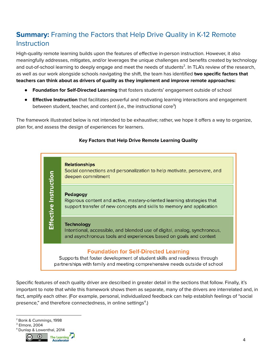# <span id="page-3-0"></span>**Summary:** Framing the Factors that Help Drive Quality in K-12 Remote **Instruction**

High-quality remote learning builds upon the features of effective in-person instruction. However, it also meaningfully addresses, mitigates, and/or leverages the unique challenges and benefits created by technology and out-of-school learning to deeply engage and meet the needs of students<sup>2</sup>. In TLA's review of the research, as well as our work alongside schools navigating the shift, the team has identified **two specific factors that teachers can think about as drivers of quality as they implement and improve remote approaches:**

- **● Foundation for Self-Directed Learning** that fosters students' engagement outside of school
- **● Effective Instruction** that facilitates powerful and motivating learning interactions and engagement between student, teacher, and content (i.e., the instructional core<sup>3</sup>)

The framework illustrated below is not intended to be exhaustive; rather, we hope it offers a way to organize, plan for, and assess the design of experiences for learners.

### **Key Factors that Help Drive Remote Learning Quality**



Specific features of each quality driver are described in greater detail in the sections that follow. Finally, it's important to note that while this framework shows them as separate, many of the drivers are interrelated and, in fact, amplify each other. (For example, personal, individualized feedback can help establish feelings of "social presence," and therefore connectedness, in online settings<sup>4</sup>.)

- <sup>2</sup> Bonk & Cummings, 1998
- <sup>3</sup> Elmore, 2004
- <sup>4</sup> Dunlap & Lowenthal, 2014

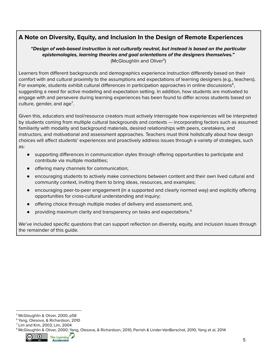### <span id="page-4-0"></span>**A Note on Diversity, Equity, and Inclusion In the Design of Remote Experiences**

### **"Design of web-based instruction is not culturally neutral, but instead is based on the particular epistemologies, learning theories and goal orientations of the designers themselves."** (McGloughlin and Oliver<sup>5</sup>)

Learners from different backgrounds and demographics experience instruction differently based on their comfort with and cultural proximity to the assumptions and expectations of learning designers (e.g., teachers). For example, students exhibit cultural differences in participation approaches in online discussions $^6$ , suggesting a need for active modeling and expectation setting. In addition, how students are motivated to engage with and persevere during learning experiences has been found to differ across students based on culture, gender, and age<sup>7</sup>.

Given this, educators and tool/resource creators must actively interrogate how experiences will be interpreted by students coming from multiple cultural backgrounds and contexts — incorporating factors such as assumed familiarity with modality and background materials, desired relationships with peers, caretakers, and instructors, and motivational and assessment approaches. Teachers must think holistically about how design choices will affect students' experiences and proactively address issues through a variety of strategies, such as:

- supporting differences in communication styles through offering opportunities to participate and contribute via multiple modalities;
- offering many channels for communication;
- encouraging students to actively make connections between content and their own lived cultural and community context, inviting them to bring ideas, resources, and examples;
- encouraging peer-to-peer engagement (in a supported and clearly normed way) and explicitly offering opportunities for cross-cultural understanding and inquiry;
- offering choice through multiple modes of delivery and assessment; and,
- providing maximum clarity and transparency on tasks and expectations. 8

We've included specific questions that can support reflection on diversity, equity, and inclusion issues through the remainder of this guide.

<sup>8</sup> McGloughlin & Oliver, 2000; Yang, Olesova, & Richardson, 2010; Parrish & Linder-VanBerschot, 2010; Yang et al, 2014



<sup>5</sup> McGloughlin & Oliver, 2000, p58

<sup>6</sup> Yang, Olesova, & Richardson, 2010

<sup>7</sup> Lim and Kim, 2003; Lim, 2004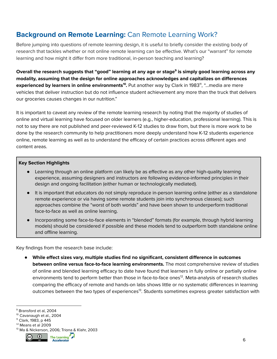# <span id="page-5-0"></span>**Background on Remote Learning:** Can Remote Learning Work?

Before jumping into questions of remote learning design, it is useful to briefly consider the existing body of research that tackles whether or not online remote learning can be effective. What's our "warrant" for remote learning and how might it differ from more traditional, in-person teaching and learning?

Overall the research suggests that "good" learning at any age or stage<sup>s</sup> is simply good learning across any **modality, assuming that the design for online approaches acknowledges and capitalizes on differences experienced by learners in online environments<sup>10</sup>. Put another way by Clark in 1983<sup>11</sup>, "...media are mere** vehicles that deliver instruction but do not influence student achievement any more than the truck that delivers our groceries causes changes in our nutrition."

It is important to caveat any review of the remote learning research by noting that the majority of studies of online and virtual learning have focused on older learners (e.g., higher-education, professional learning). This is not to say there are not published and peer-reviewed K-12 studies to draw from, but there is more work to be done by the research community to help practitioners more deeply understand how K-12 students experience online, remote learning as well as to understand the efficacy of certain practices across different ages and content areas.

#### **Key Section Highlights**

- Learning through an online platform can likely be as effective as any other high-quality learning experience, assuming designers and instructors are following evidence-informed principles in their design and ongoing facilitation (either human or technologically mediated).
- It is important that educators do not simply reproduce in-person learning online (either as a standalone remote experience or via having some remote students join into synchronous classes); such approaches combine the "worst of both worlds" and have been shown to underperform traditional face-to-face as well as online learning.
- Incorporating some face-to-face elements in "blended" formats (for example, through hybrid learning models) should be considered if possible and these models tend to outperform both standalone online and offline learning.

Key findings from the research base include:

● **While effect sizes vary, multiple studies find no significant, consistent difference in outcomes between online versus face-to-face learning environments.** The most comprehensive review of studies of online and blended learning efficacy to date have found that learners in fully online or partially online environments tend to perform better than those in face-to-face ones<sup>12</sup>. Meta-analysis of research studies comparing the efficacy of remote and hands-on labs shows little or no systematic differences in learning outcomes between the two types of experiences<sup>13</sup>. Students sometimes express greater satisfaction with

**Accelerator** 



<sup>9</sup> Bransford et al, 2004

<sup>&</sup>lt;sup>10</sup> Cavanaugh et al., 2004

<sup>11</sup> Clark, 1983, p 445

<sup>12</sup> Means et al 2009

<sup>13</sup> Ma & Nickerson, 2006; Triona & Klahr, 2003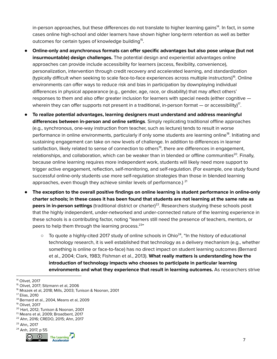in-person approaches, but these differences do not translate to higher learning gains<sup>14</sup>. In fact, in some cases online high-school and older learners have shown higher long-term retention as well as better outcomes for certain types of knowledge building<sup>15</sup>.

- **Online-only and asynchronous formats can offer specific advantages but also pose unique (but not insurmountable) design challenges.** The potential design and experiential advantages online approaches can provide include accessibility for learners (access, flexibility, convenience), personalization, intervention through credit recovery and accelerated learning, and standardization (typically difficult when seeking to scale face-to-face experiences across multiple instructors)<sup>16</sup>. Online environments can offer ways to reduce risk and bias in participation by downplaying individual differences in physical appearance (e.g., gender, age, race, or disability) that may affect others' responses to them and also offer greater inclusion for learners with special needs (either cognitive wherein they can offer supports not present in a traditional, in-person format — or accessibility) $^{\prime\prime}$ .
- **To realize potential advantages, learning designers must understand and address meaningful differences between in-person and online settings**. Simply replicating traditional offline approaches (e.g., synchronous, one-way instruction from teacher, such as lecture) tends to result in worse performance in online environments, particularly if only some students are learning online<sup>18</sup>. Initiating and sustaining engagement can take on new levels of challenge. In addition to differences in learner satisfaction, likely related to sense of connection to others<sup>19</sup>, there are differences in engagement, relationships, and collaboration, which can be weaker than in blended or offline communities<sup>20</sup>. Finally, because online learning requires more independent work, students will likely need more support to trigger active engagement, reflection, self-monitoring, and self-regulation. (For example, one study found successful online-only students use more self-regulation strategies than those in blended learning approaches, even though they achieve similar levels of performance.)  $^{21}$
- **The exception to the overall positive findings on online learning is student performance in online-only** charter schools; in these cases it has been found that students are not learning at the same rate as **peers in in-person settings** (traditional district or charter)<sup>22</sup>. Researchers studying these schools posit that the highly independent, under-networked and under-connected nature of the learning experience in these schools is a contributing factor, noting "learners still need the presence of teachers, mentors, or peers to help them through the learning process.<sup>23</sup>"
	- $\circ$  To quote a highly-cited 2017 study of online schools in Ohio<sup>24</sup>, "In the history of educational technology research, it is well established that technology as a delivery mechanism (e.g., whether something is online or face-to-face) has no direct impact on student learning outcomes (Bernard et al., 2004; Clark, 1983; Fishman et al., 2013). **What really matters is understanding how the introduction of technology impacts who chooses to participate in particular learning environments and what they experience that result in learning outcomes.** As researchers strive

- <sup>21</sup> Means et al, 2009; Broadbent, 2017
- <sup>22</sup> Ahn, 2016; CREDO, 2015; Ahn, 2017
- <sup>23</sup> Ahn, 2017





<sup>14</sup> Olivet, 2017

<sup>&</sup>lt;sup>15</sup> Olivet, 2017; Sitzmann et al, 2006

<sup>16</sup> Mrazek et al, 2018; Mills, 2003; Tunison & Noonan, 2001

<sup>17</sup> Elias, 2010

<sup>18</sup> Bernard et al., 2004, Means et al, 2009

<sup>19</sup> Olivet, 2017

<sup>20</sup> Hart, 2012; Tunison & Noonan, 2001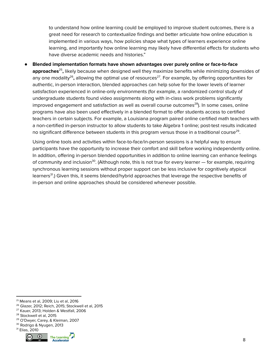to understand how online learning could be employed to improve student outcomes, there is a great need for research to contextualize findings and better articulate how online education is implemented in various ways, how policies shape what types of learners experience online learning, and importantly how online learning may likely have differential effects for students who have diverse academic needs and histories."

● **Blended implementation formats have shown advantages over purely online or face-to-face approaches<sup>25</sup>,** likely because when designed well they maximize benefits while minimizing downsides of any one modality<sup>26</sup>, allowing the optimal use of resources<sup>27</sup>. For example, by offering opportunities for authentic, in-person interaction, blended approaches can help solve for the lower levels of learner satisfaction experienced in online-only environments (for example, a randomized control study of undergraduate students found video assignments along with in-class work problems significantly improved engagement and satisfaction as well as overall course outcomes<sup>28</sup>). In some cases, online programs have also been used effectively in a blended format to offer students access to certified teachers in certain subjects. For example, a Louisiana program paired online certified math teachers with a non-certified in-person instructor to allow students to take Algebra 1 online; post-test results indicated no significant difference between students in this program versus those in a traditional course $^{\rm 29}$ .

Using online tools and activities within face-to-face/in-person sessions is a helpful way to ensure participants have the opportunity to increase their comfort and skill before working independently online. In addition, offering in-person blended opportunities in addition to online learning can enhance feelings of community and inclusion<sup>30</sup>. (Although note, this is not true for every learner — for example, requiring synchronous learning sessions without proper support can be less inclusive for cognitively atypical learners<sup>31</sup>.) Given this, it seems blended/hybrid approaches that leverage the respective benefits of in-person and online approaches should be considered whenever possible.

<sup>31</sup> Elias, 2010



<sup>25</sup> Means et al, 2009; Liu et al, 2016

<sup>26</sup> Glazer, 2012; Reich, 2015; Stockwell et al, 2015

<sup>27</sup> Kauer, 2013; Holden & Westfall, 2006

<sup>28</sup> Stockwell et al, 2015

<sup>29</sup> O'Dwyer, Carey, & Kleiman, 2007

<sup>30</sup> Rodrigo & Nyugen, 2013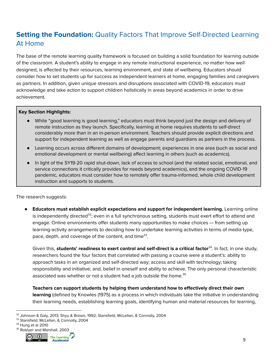# <span id="page-8-0"></span>**Setting the Foundation:** Quality Factors That Improve Self-Directed Learning At Home

The base of the remote learning quality framework is focused on building a solid foundation for learning outside of the classroom. A student's ability to engage in any remote instructional experience, no matter how well designed, is affected by their resources, learning environment, and state of wellbeing. Educators should consider how to set students up for success as independent learners at home, engaging families and caregivers as partners. In addition, given unique stressors and disruptions associated with COVID-19, educators must acknowledge and take action to support children holistically in areas beyond academics in order to drive achievement.

#### **Key Section Highlights:**

- While "good learning is good learning," educators must think beyond just the design and delivery of remote instruction as they launch. Specifically, learning at home requires students to self-direct considerably more than in an in-person environment. Teachers should provide explicit directions and support for independent learning as well as engage parents and guardians as partners in the process.
- Learning occurs across different domains of development; experiences in one area (such as social and emotional development or mental wellbeing) affect learning in others (such as academics).
- In light of the SY19-20 rapid shut-down, lack of access to school (and the related social, emotional, and service connections it critically provides for needs beyond academics), and the ongoing COVID-19 pandemic, educators must consider how to remotely offer trauma-informed, whole child development instruction and supports to students.

The research suggests:

● **Educators must establish explicit expectations and support for independent learning.** Learning online is independently directed<sup>32</sup>; even in a full synchronous setting, students must exert effort to attend and engage. Online environments offer students many opportunities to make choices — from setting up learning-activity arrangements to deciding how to undertake learning activities in terms of media type, pace, depth, and coverage of the content, and time $^{33}$ .

Given this, students' readiness to exert control and self-direct is a critical factor<sup>34</sup>. In fact, in one study, researchers found the four factors that correlated with passing a course were a student's: ability to approach tasks in an organized and self-directed way; access and skill with technology; taking responsibility and initiative; and, belief in oneself and ability to achieve. The only personal characteristic associated was whether or not a student had a job outside the home. 35

**Teachers can support students by helping them understand how to effectively direct their own learning** (defined by Knowles (1975) as a process in which individuals take the initiative in understanding their learning needs, establishing learning goals, identifying human and material resources for learning,

<sup>34</sup> Hung et al 2010





<sup>32</sup> Johnson & Galy, 2013; Shyu & Brown, 1992; Stansfield, McLellan, & Connolly, 2004

<sup>&</sup>lt;sup>33</sup> Stansfield, McLellan, & Connolly, 2004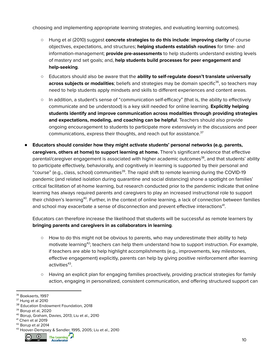choosing and implementing appropriate learning strategies, and evaluating learning outcomes).

- Hung et al (2010) suggest **concrete strategies to do this include**: **improving clarity** of course objectives, expectations, and structures; **helping students establish routines** for time- and information-management; **provide pre-assessments** to help students understand existing levels of mastery and set goals; and, **help students build processes for peer engagement and help-seeking**.
- Educators should also be aware that the **ability to self-regulate doesn't translate universally across subjects or modalities**; beliefs and strategies may be domain specific<sup>36</sup>, so teachers may need to help students apply mindsets and skills to different experiences and content areas.
- In addition, a student's sense of "communication self-efficacy" (that is, the ability to effectively communicate and be understood) is a key skill needed for online learning. **Explicitly helping students identify and improve communication across modalities through providing strategies and expectations, modeling, and coaching can be helpful**. Teachers should also provide ongoing encouragement to students to participate more extensively in the discussions and peer communications, express their thoughts, and reach out for assistance.<sup>37</sup>
- **Educators should consider how they might activate students' personal networks (e.g. parents, caregivers, others at home) to support learning at home.** There's significant evidence that effective parental/caregiver engagement is associated with higher academic outcomes<sup>38</sup>, and that students' ability to participate effectively, behaviorally, and cognitively in learning is supported by their personal and "course" (e.g., class, school) communities<sup>39</sup>. The rapid shift to remote learning during the COVID-19 pandemic (and related isolation during quarantine and social distancing) shone a spotlight on families' critical facilitation of at-home learning, but research conducted prior to the pandemic indicate that online learning has always required parents and caregivers to play an increased instructional role to support their children's learning<sup>40</sup>. Further, in the context of online learning, a lack of connection between families and school may exacerbate a sense of disconnection and prevent effective interactions<sup>41</sup>.

Educators can therefore increase the likelihood that students will be successful as remote learners by **bringing parents and caregivers in as collaborators in learning**.

- How to do this might not be obvious to parents, who may underestimate their ability to help motivate learning<sup>42</sup>; teachers can help them understand how to support instruction. For example, if teachers are able to help highlight accomplishments (e.g., improvements, key milestones, effective engagement) explicitly, parents can help by giving positive reinforcement after learning activities<sup>43</sup>.
- Having an explicit plan for engaging families proactively, providing practical strategies for family action, engaging in personalized, consistent communication, and offering structured support can

<sup>43</sup> Hoover-Dempsey & Sandler, 1995, 2005; Liu et al., 2010 The Learning



<sup>&</sup>lt;sup>36</sup> Boekaerts, 1997

<sup>37</sup> Hung et al 2010

<sup>&</sup>lt;sup>38</sup> Education Endowment Foundation, 2018

<sup>39</sup> Borup et al, 2020

<sup>40</sup> Borup, Graham, Davies, 2013; Liu et al., 2010

<sup>42</sup> Borup et al 2014 <sup>41</sup> Chen et al 2019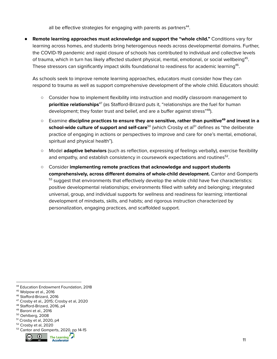all be effective strategies for engaging with parents as partners<sup>44</sup>.

● **Remote learning approaches must acknowledge and support the "whole child."** Conditions vary for learning across homes, and students bring heterogenous needs across developmental domains. Further, the COVID-19 pandemic and rapid closure of schools has contributed to individual and collective levels of trauma, which in turn has likely affected student physical, mental, emotional, or social wellbeing<sup>45</sup>. These stressors can significantly impact skills foundational to readiness for academic learning $46$ .

As schools seek to improve remote learning approaches, educators must consider how they can respond to trauma as well as support comprehensive development of the whole child. Educators should:

- Consider how to implement flexibility into instruction and modify classroom management to prioritize relationships<sup>47</sup> (as Stafford-Brizard puts it, "relationships are the fuel for human development; they foster trust and belief, and are a buffer against stress"<sup>48</sup>).
- Examine **discipline practices to ensure they are sensitive, rather than punitive and invest in a 49 school-wide culture of support and self-care<sup>50</sup> (which Crosby et al<sup>51</sup> defines as "the deliberate** practice of engaging in actions or perspectives to improve and care for one's mental, emotional, spiritual and physical health").
- Model **adaptive behaviors** (such as reflection, expressing of feelings verbally), exercise flexibility and empathy, and establish consistency in coursework expectations and routines $^{52}.$
- Consider **implementing remote practices that acknowledge and support students comprehensively, across different domains of whole-child development.** Cantor and Gomperts  $53$  suggest that environments that effectively develop the whole child have five characteristics: positive developmental relationships; environments filled with safety and belonging; integrated universal, group, and individual supports for wellness and readiness for learning; intentional development of mindsets, skills, and habits; and rigorous instruction characterized by personalization, engaging practices, and scaffolded support.

<sup>53</sup> Cantor and Gomperts, 2020, pp 14-15



<sup>44</sup> Education Endowment Foundation, 2018

<sup>45</sup> Wolpow et al., 2016

<sup>46</sup> Stafford-Brizard, 2016

<sup>47</sup> Crosby et al., 2015; Crosby et al, 2020

<sup>48</sup> Stafford-Brizard, 2016, p4

<sup>49</sup> Baroni et al., 2016

<sup>50</sup> Oehlberg, 2008

<sup>51</sup> Crosby et al, 2020, p4

<sup>52</sup> Crosby et al, 2020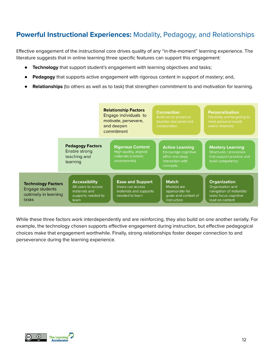# <span id="page-11-0"></span>**Powerful Instructional Experiences:** Modality, Pedagogy, and Relationships

Effective engagement of the instructional core drives quality of any "in-the-moment" learning experience. The literature suggests that in online learning three specific features can support this engagement:

- **Technology** that support student's engagement with learning objectives and tasks;
- Pedagogy that supports active engagement with rigorous content in support of mastery; and,
- **Relationships** (to others as well as to task) that strengthen commitment to and motivation for learning.



While these three factors work interdependently and are reinforcing, they also build on one another serially. For example, the technology chosen supports effective engagement during instruction, but effective pedagogical choices make that engagement worthwhile. Finally, strong relationships foster deeper connection to and perseverance during the learning experience.

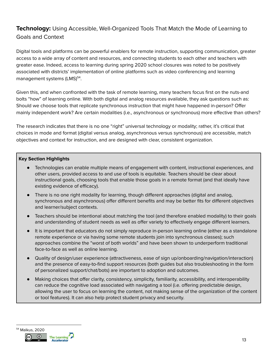### <span id="page-12-0"></span>**Technology:** Using Accessible, Well-Organized Tools That Match the Mode of Learning to Goals and Context

Digital tools and platforms can be powerful enablers for remote instruction, supporting communication, greater access to a wide array of content and resources, and connecting students to each other and teachers with greater ease. Indeed, access to learning during spring 2020 school closures was noted to be positively associated with districts' implementation of online platforms such as video conferencing and learning management systems (LMS)<sup>54</sup>.

Given this, and when confronted with the task of remote learning, many teachers focus first on the nuts-and bolts "how" of learning online. With both digital and analog resources available, they ask questions such as: Should we choose tools that replicate synchronous instruction that might have happened in-person? Offer mainly independent work? Are certain modalities (i.e., asynchronous or synchronous) more effective than others?

The research indicates that there is no one "right" universal technology or modality; rather, it's critical that choices in mode and format (digital versus analog, asynchronous versus synchronous) are accessible, match objectives and context for instruction, and are designed with clear, consistent organization.

#### **Key Section Highlights**

- Technologies can enable multiple means of engagement with content, instructional experiences, and other users, provided access to and use of tools is equitable. Teachers should be clear about instructional goals, choosing tools that enable those goals in a remote format (and that ideally have existing evidence of efficacy).
- There is no one right modality for learning, though different approaches (digital and analog, synchronous and asynchronous) offer different benefits and may be better fits for different objectives and learner/subject contexts.
- Teachers should be intentional about matching the tool (and therefore enabled modality) to their goals and understanding of student needs as well as offer variety to effectively engage different learners.
- It is important that educators do not simply reproduce in-person learning online (either as a standalone remote experience or via having some remote students join into synchronous classes); such approaches combine the "worst of both worlds" and have been shown to underperform traditional face-to-face as well as online learning.
- Quality of design/user experience (attractiveness, ease of sign up/onboarding/navigation/interaction) and the presence of easy-to-find support resources (both guides but also troubleshooting in the form of personalized support/chat/bots) are important to adoption and outcomes.
- Making choices that offer clarity, consistency, simplicity, familiarity, accessibility, and interoperability can reduce the cognitive load associated with navigating a tool (i.e. offering predictable design, allowing the user to focus on learning the content, not making sense of the organization of the content or tool features). It can also help protect student privacy and security.

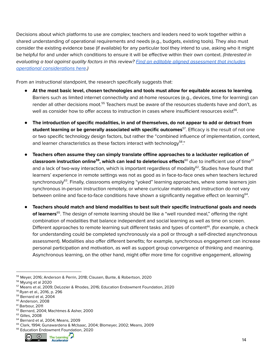Decisions about which platforms to use are complex; teachers and leaders need to work together within a shared understanding of operational requirements and needs (e.g., budgets, existing tools). They also must consider the existing evidence base (if available) for any particular tool they intend to use, asking who it might be helpful for and under which conditions to ensure it will be effective within their own context. (Interested in evaluating a tool against quality factors in this review? Find an editable aligned [assessment](https://docs.google.com/spreadsheets/d/1d9rbQMhXH87ltPM4LIHxXAn0mrtriiOCEf4TuPj_4rg/edit?usp=sharing) that includes operational [considerations](https://docs.google.com/spreadsheets/d/1d9rbQMhXH87ltPM4LIHxXAn0mrtriiOCEf4TuPj_4rg/edit?usp=sharing) here.)

From an instructional standpoint, the research specifically suggests that:

- **At the most basic level, chosen technologies and tools must allow for equitable access to learning**. Barriers such as limited internet connectivity and at-home resources (e.g., devices, time for learning) can render all other decisions moot.<sup>55</sup> Teachers must be aware of the resources students have and don't, as well as consider how to offer access to instruction in cases where insufficient resources exist $^{56}$ .
- **The introduction of specific modalities, in and of themselves, do not appear to add or detract from student learning or be generally associated with specific outcomes<sup>57</sup>. Efficacy is the result of not one** or two specific technology design factors, but rather the "combined influence of implementation, context, and learner characteristics as these factors interact with technology58."
- **Teachers often assume they can simply translate offline approaches to a lackluster replication of classroom instruction online<sup>59</sup>, which can lead to deleterious effects<sup>60</sup> due to inefficient use of time<sup>61</sup>** and a lack of two-way interaction, which is important regardless of modality $^{62}$ . Studies have found that learners' experience in remote settings was not as good as in face-to-face ones when teachers lectured synchronously<sup>63</sup>. Finally, classrooms employing "yoked" learning approaches, where some learners join synchronous in-person instruction remotely, or where curricular materials and instruction do not vary between online and face-to-face conditions have shown a significantly negative effect on learning<sup>64</sup>.
- **Teachers should match and blend modalities to best suit their specific instructional goals and needs of learners**<sup>65</sup>. The design of remote learning should be like a "well rounded meal," offering the right combination of modalities that balance independent and social learning as well as time on screen. Different approaches to remote learning suit different tasks and types of content<sup>66</sup>, (for example, a check for understanding could be completed synchronously via a poll or through a self-directed asynchronous assessment). Modalities also offer different benefits; for example, synchronous engagement can increase personal participation and motivation, as well as support group convergence of thinking and meaning. Asynchronous learning, on the other hand, might offer more time for cognitive engagement, allowing

<sup>&</sup>lt;sup>66</sup> Education Endowment Foundation, 2020



<sup>55</sup> Meyer, 2016; Anderson & Perrin, 2018; Clausen, Bunte, & Robertson, 2020

<sup>56</sup> Myung et al 2020

<sup>57</sup> Means et al, 2009; DeLozier & Rhodes, 2016; Education Endowment Foundation, 2020

<sup>58</sup> Ryan et al., 2016, p. 296

<sup>59</sup> Bernard et al, 2004

<sup>60</sup> Anderson, 2008

<sup>&</sup>lt;sup>61</sup> Barbour, 2011

<sup>62</sup> Bernard, 2004; Machtmes & Asher, 2000

<sup>&</sup>lt;sup>63</sup> Gilles, 2008

<sup>64</sup> Bernard et al, 2004; Means, 2009

<sup>65</sup> Clark, 1994; Gunawardena & McIsaac, 2004; Blomeyer, 2002; Means, 2009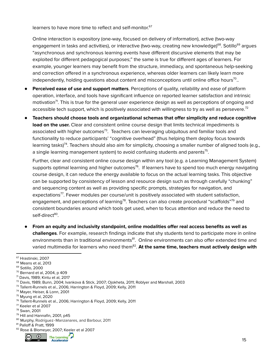learners to have more time to reflect and self-monitor. 67

Online interaction is expository (one-way, focused on delivery of information), active (two-way engagement in tasks and activities), or interactive (two-way, creating new knowledge)<sup>68</sup>. Sotillo<sup>69</sup> argues "asynchronous and synchronous learning events have different discursive elements that may be exploited for different pedagogical purposes;" the same is true for different ages of learners. For example, younger learners may benefit from the structure, immediacy, and spontaneous help-seeking and correction offered in a synchronous experience, whereas older learners can likely learn more independently, holding questions about content and misconceptions until online office hours $^{70}$ ..

- **Perceived ease of use and support matters**. Perceptions of quality, reliability and ease of platform operation, interface, and tools have significant influence on reported learner satisfaction and intrinsic motivation $^{71}$ . This is true for the general user experience design as well as perceptions of ongoing and accessible tech support, which is positively associated with willingness to try as well as persevere. $^{72}$
- **Teachers should choose tools and organizational schemas that offer simplicity and reduce cognitive load on the user.** Clear and consistent online course design that limits technical impediments is associated with higher outcomes $^{73}$ . Teachers can leveraging ubiquitous and familiar tools and functionality to reduce participants' "cognitive overhead" (thus helping them deploy focus towards learning tasks)<sup>74</sup>. Teachers should also aim for simplicity, choosing a smaller number of aligned tools (e.g., a single learning management system) to avoid confusing students and parents $^{75}.$

Further, clear and consistent online course design within any tool (e.g. a Learning Management System) supports optimal learning and higher outcomes $^{76}$ . If learners have to spend too much energy navigating course design, it can reduce the energy available to focus on the actual learning tasks. This objective can be supported by consistency of lesson and resource design such as through carefully "chunking" and sequencing content as well as providing specific prompts, strategies for navigation, and  $expectations<sup>77</sup>$ . Fewer modules per course/unit is positively associated with student satisfaction, engagement, and perceptions of learning<sup>78</sup>. Teachers can also create procedural "scaffolds"<sup>79</sup> and consistent boundaries around which tools get used, when to focus attention and reduce the need to self-direct<sup>80</sup>.

● **From an equity and inclusivity standpoint, online modalities offer real access benefits as well as challenges**. For example, research findings indicate that shy students tend to participate more in online environments than in traditional environments<sup>81</sup>. Online environments can also offer extended time and **varied multimedia for learners who need them** $^{82}$ **. <b>At the same time, teachers must actively design with** 

<sup>82</sup> Rose & Blomeyer, 2007; Keeler et al 2007



<sup>67</sup> Hrastinski, 2007

<sup>68</sup> Means et al, 2013

<sup>69</sup> Sotillo, 2000

 $70$  Bernard et al, 2004, p 409

<sup>71</sup> Davis, 1989; Kintu et al, 2017

<sup>72</sup> Davis, 1989; Bunn, 2004; Ivankova & Stick, 2007; Ojokheta, 2011; Roblyer and Marshall, 2003

<sup>73</sup> Tallent-Runnels et al., 2006; Harrington & Floyd, 2009; Kelly, 2011

<sup>74</sup> Mayer, Heiser, & Lonn, 2001

<sup>75</sup> Myung et al, 2020

<sup>&</sup>lt;sup>76</sup> Tallent-Runnels et al., 2006; Harrington & Floyd, 2009; Kelly, 2011

<sup>77</sup> Keeler et al 2007

<sup>78</sup> Swan, 2001

<sup>79</sup> Hill and Hannafin, 2001, p45

<sup>80</sup> Murphy, Rodríguez-Manzanares, and Barbour, 2011

<sup>81</sup> Palloff & Pratt, 1999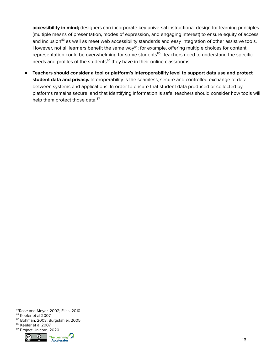**accessibility in mind;** designers can incorporate key universal instructional design for learning principles (multiple means of presentation, modes of expression, and engaging interest) to ensure equity of access and inclusion<sup>83</sup> as well as meet web accessibility standards and easy integration of other assistive tools. However, not all learners benefit the same way<sup>84</sup>; for example, offering multiple choices for content representation could be overwhelming for some students<sup>85</sup>. Teachers need to understand the specific needs and profiles of the students<sup>86</sup> they have in their online classrooms.

● **Teachers should consider a tool or platform's interoperability level to support data use and protect student data and privacy.** Interoperability is the seamless, secure and controlled exchange of data between systems and applications. In order to ensure that student data produced or collected by platforms remains secure, and that identifying information is safe, teachers should consider how tools will help them protect those data.<sup>87</sup>

<sup>87</sup> Project Unicorn, 2020



<sup>83</sup>Rose and Meyer, 2002; Elias, 2010

<sup>84</sup> Keeler et al 2007

<sup>85</sup> Bohman, 2003; Burgstahler, 2005

<sup>86</sup> Keeler et al 2007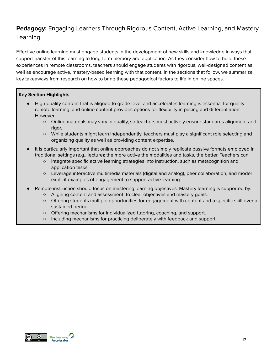### <span id="page-16-0"></span>**Pedagogy:** Engaging Learners Through Rigorous Content, Active Learning, and Mastery Learning

Effective online learning must engage students in the development of new skills and knowledge in ways that support transfer of this learning to long-term memory and application. As they consider how to build these experiences in remote classrooms, teachers should engage students with rigorous, well-designed content as well as encourage active, mastery-based learning with that content. In the sections that follow, we summarize key takeaways from research on how to bring these pedagogical factors to life in online spaces.

#### **Key Section Highlights**

- High-quality content that is aligned to grade level and accelerates learning is essential for quality remote learning, and online content provides options for flexibility in pacing and differentiation. However:
	- Online materials may vary in quality, so teachers must actively ensure standards alignment and rigor.
	- While students might learn independently, teachers must play a significant role selecting and organizing quality as well as providing content expertise.
- It is particularly important that online approaches do not simply replicate passive formats employed in traditional settings (e.g., lecture); the more active the modalities and tasks, the better. Teachers can:
	- Integrate specific active learning strategies into instruction, such as metacognition and application tasks.
	- Leverage interactive multimedia materials (digital and analog), peer collaboration, and model explicit examples of engagement to support active learning.
- Remote instruction should focus on mastering learning objectives. Mastery learning is supported by:
	- Aligning content and assessment to clear objectives and mastery goals.
	- Offering students multiple opportunities for engagement with content and a specific skill over a sustained period.
	- Offering mechanisms for individualized tutoring, coaching, and support.
	- Including mechanisms for practicing deliberately with feedback and support.

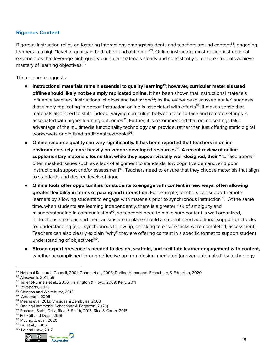### <span id="page-17-0"></span>**Rigorous Content**

Rigorous instruction relies on fostering interactions amongst students and teachers around content<sup>88</sup>, engaging learners in a high "level of quality in both effort and outcome"<sup>89</sup>. Online instructors must design instructional experiences that leverage high-quality curricular materials clearly and consistently to ensure students achieve mastery of learning objectives. 90

The research suggests:

- **Instructional materials remain essential to quality learning ; however, curricular materials used 91 offline should likely not be simply replicated online.** It has been shown that instructional materials influence teachers' instructional choices and behaviors<sup>92</sup>; as the evidence (discussed earlier) suggests that simply replicating in-person instruction online is associated with effects<sup>93</sup>, it makes sense that materials also need to shift. Indeed, varying curriculum between face-to-face and remote settings is associated with higher learning outcomes<sup>94</sup>. Further, it is recommended that online settings take advantage of the multimedia functionality technology can provide, rather than just offering static digital worksheets or digitized traditional textbooks<sup>95</sup>.
- **Online resource quality can vary significantly. It has been reported that teachers in online environments rely more heavily on vendor-developed resources . A recent review of online 96 supplementary materials found that while they appear visually well-designed, their "**surface appeal" often masked issues such as a lack of alignment to standards, low cognitive demand, and poor instructional support and/or assessment<sup>97</sup>. Teachers need to ensure that they choose materials that align to standards and desired levels of rigor.
- **Online tools offer opportunities for students to engage with content in new ways, often allowing greater flexibility in terms of pacing and interaction.** For example, teachers can support remote learners by allowing students to engage with materials prior to synchronous instruction<sup>98</sup>. At the same time, when students are learning independently, there is a greater risk of ambiguity and misunderstanding in communication<sup>99</sup>, so teachers need to make sure content is well organized, instructions are clear, and mechanisms are in place should a student need additional support or checks for understanding (e.g., synchronous follow up, checking to ensure tasks were completed, assessment). Teachers can also clearly explain "why" they are offering content in a specific format to support student understanding of objectives<sup>100</sup>.
- **Strong expert presence is needed to design, scaffold, and facilitate learner engagement with content,** whether accomplished through effective up-front design, mediated (or even automated) by technology,

<sup>100</sup> Lo and Hew, 2017



<sup>88</sup> National Research Council, 2001; Cohen et al., 2003; Darling-Hammond, Schachner, & Edgerton, 2020

<sup>89</sup> Ainsworth, 2011, p6

<sup>90</sup> Tallent-Runnels et al., 2006; Harrington & Floyd, 2009; Kelly, 2011

<sup>&</sup>lt;sup>91</sup> EdReports, 2020

<sup>92</sup> Chingos and Whitehurst, 2012

<sup>93</sup> Anderson, 2008

<sup>94</sup> Means et al 2013; Vrasidas & Zembylas, 2003

<sup>95</sup> Darling-Hammond, Schachner, & Edgerton, 2020)

<sup>96</sup> Basham, Stahl, Ortiz, Rice, & Smith, 2015; Rice & Carter, 2015

<sup>97</sup> Polikoff and Dean, 2019

<sup>98</sup> Myung, J. et al, 2020

<sup>99</sup> Liu et al., 2005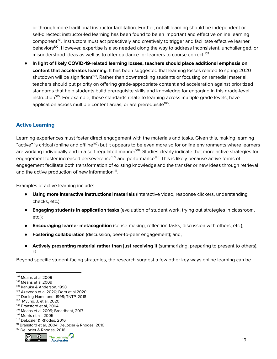or through more traditional instructor facilitation. Further, not all learning should be independent or self-directed; instructor-led learning has been found to be an important and effective online learning component<sup>101</sup>. Instructors must act proactively and creatively to trigger and facilitate effective learner behaviors<sup>102</sup>. However, expertise is also needed along the way to address inconsistent, unchallenged, or misunderstood ideas as well as to offer guidance for learners to course-correct. 103

● **In light of likely COVID-19-related learning losses, teachers should place additional emphasis on content that accelerates learning**. It has been suggested that learning losses related to spring 2020 shutdown will be significant<sup>104</sup>. Rather than downtracking students or focusing on remedial material, teachers should put priority on offering grade-appropriate content and acceleration against prioritized standards that help students build prerequisite skills and knowledge for engaging in this grade-level instruction<sup>105</sup>. For example, those standards relate to learning across multiple grade levels, have application across multiple content areas, or are prerequisite<sup>106</sup>.

### <span id="page-18-0"></span>**Active Learning**

Learning experiences must foster direct engagement with the materials and tasks. Given this, making learning "active" is critical (online and offline<sup>107</sup>) but it appears to be even more so for online environments where learners are working individually and in a self-regulated manner<sup>108</sup>. Studies clearly indicate that more active strategies for engagement foster increased perseverance<sup>109</sup> and performance<sup>110</sup>. This is likely because active forms of engagement facilitate both transformation of existing knowledge and the transfer or new ideas through retrieval and the active production of new information<sup>111</sup>.

Examples of active learning include:

- **Using more interactive instructional materials** (interactive video, response clickers, understanding checks, etc.);
- **Engaging students in application tasks** (evaluation of student work, trying out strategies in classroom, etc.);
- **Encouraging learner metacognition** (sense-making, reflection tasks, discussion with others, etc.);
- **Fostering collaboration** (discussion, peer-to-peer engagement); and,
- **Actively presenting material rather than just receiving it** (summarizing, preparing to present to others). 112

Beyond specific student-facing strategies, the research suggest a few other key ways online learning can be

<sup>112</sup> DeLozier & Rhodes, 2016 111 Bransford et al, 2004; DeLozier & Rhodes, 2016



<sup>101</sup> Means et al 2009

<sup>102</sup> Means et al 2009

<sup>103</sup> Kanuka & Anderson, 1998

<sup>104</sup> Azevedo et al 2020; Dorn et al 2020

<sup>&</sup>lt;sup>105</sup> Darling-Hammond, 1998; TNTP, 2018

<sup>106</sup> Myung, J. et al, 2020

<sup>107</sup> Bransford et al, 2004

<sup>108</sup> Means et al 2009; Broadbent, 2017

<sup>109</sup> Morris et al., 2005

<sup>110</sup> DeLozier & Rhodes, 2016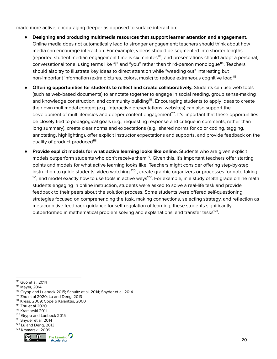made more active, encouraging deeper as opposed to surface interaction:

- **Designing and producing multimedia resources that support learner attention and engagement**. Online media does not automatically lead to stronger engagement; teachers should think about how media can encourage interaction. For example, videos should be segmented into shorter lengths (reported student median engagement time is six minutes<sup>113</sup>) and presentations should adopt a personal, conversational tone, using terms like "I" and "you" rather than third-person monologue<sup>114</sup>. Teachers should also try to illustrate key ideas to direct attention while "weeding out" interesting but non-important information (extra pictures, colors, music) to reduce extraneous cognitive load<sup>115</sup>.
- **Offering opportunities for students to reflect and create collaboratively.** Students can use web tools (such as web-based documents) to annotate together to engage in social reading, group sense-making and knowledge construction, and community building<sup>116</sup>. Encouraging students to apply ideas to create their own multimodal content (e.g., interactive presentations, websites) can also support the development of multiliteracies and deeper content engagement<sup>117</sup>. It's important that these opportunities be closely tied to pedagogical goals (e.g., requesting response and critique in comments, rather than long summary), create clear norms and expectations (e.g., shared norms for color coding, tagging, annotating, highlighting), offer explicit instructor expectations and supports, and provide feedback on the quality of product produced<sup>118</sup>.
- **Provide explicit models for what active learning looks like online.** Students who are given explicit models outperform students who don't receive them<sup>119</sup>. Given this, it's important teachers offer starting points and models for what active learning looks like. Teachers might consider offering step-by-step instruction to guide students' video watching  $^{\text{120}}$  , create graphic organizers or processes for note-taking  $^{121}$ , and model exactly how to use tools in active ways $^{122}$ . For example, in a study of 8th grade online math students engaging in online instruction, students were asked to solve a real-life task and provide feedback to their peers about the solution process. Some students were offered self-questioning strategies focused on comprehending the task, making connections, selecting strategy, and reflection as metacognitive feedback guidance for self-regulation of learning; these students significantly outperformed in mathematical problem solving and explanations, and transfer tasks<sup>123</sup>.

- <sup>121</sup> Snyder et al. 2014
- <sup>123</sup> Kramarski, 2009 <sup>122</sup> Lu and Deng, 2013



<sup>113</sup> Guo et al, 2014

<sup>114</sup> Mayer, 2014

<sup>115</sup> Grypp and Luebeck 2015; Schultz et al. 2014; Snyder et al. 2014

<sup>&</sup>lt;sup>116</sup> Zhu et al 2020; Lu and Deng, 2013

<sup>117</sup> Kress, 2009; Cope & Kalantzis, 2000

<sup>118</sup> Zhu et al 2020

<sup>119</sup> Kramarski 2011

<sup>&</sup>lt;sup>120</sup> Grypp and Luebeck 2015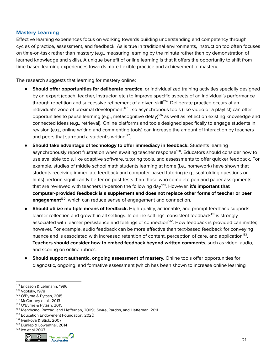### <span id="page-20-0"></span>**Mastery Learning**

Effective learning experiences focus on working towards building understanding and competency through cycles of practice, assessment, and feedback. As is true in traditional environments, instruction too often focuses on time-on-task rather than mastery (e.g., measuring learning by the minute rather than by demonstration of learned knowledge and skills). A unique benefit of online learning is that it offers the opportunity to shift from time-based learning experiences towards more flexible practice and achievement of mastery.

The research suggests that learning for mastery online:

- **Should offer opportunities for deliberate practice**, or individualized training activities specially designed by an expert (coach, teacher, instructor, etc.) to improve specific aspects of an individual's performance through repetition and successive refinement of a given skill<sup>124</sup>. Deliberate practice occurs at an individual's zone of proximal development<sup>125</sup> , so asynchronous tools (like video or a playlist) can offer opportunities to pause learning (e.g., metacognitive delay)<sup>126</sup> as well as reflect on existing knowledge and connected ideas (e.g., retrieval). Online platforms and tools designed specifically to engage students in revision (e.g., online writing and commenting tools) can increase the amount of interaction by teachers and peers that surround a student's writing $^{127}$ .
- **Should take advantage of technology to offer immediacy in feedback.** Students learning asynchronously report frustration when awaiting teacher response<sup>128</sup>. Educators should consider how to use available tools, like adaptive software, tutoring tools, and assessments to offer quicker feedback. For example, studies of middle school math students learning at home (i.e., homework) have shown that students receiving immediate feedback and computer-based tutoring (e.g., scaffolding questions or hints) perform significantly better on post-tests than those who complete pen and paper assignments that are reviewed with teachers in-person the following day<sup>129</sup>. However, **it's important that computer-provided feedback is a supplement and does not replace other forms of teacher or peer** engagement<sup>130</sup>, which can reduce sense of engagement and connection.
- **Should utilize multiple means of feedback.** High-quality, actionable, and prompt feedback supports learner reflection and growth in all settings. In online settings, consistent feedback<sup>131</sup> is strongly associated with learner persistence and feelings of connection<sup>132</sup>. How feedback is provided can matter, however. For example, audio feedback can be more effective than text-based feedback for conveying nuance and is associated with increased retention of content, perception of care, and application<sup>133</sup>. **Teachers should consider how to embed feedback beyond written comments**, such as video, audio, and scoring on online rubrics.
- **Should support authentic, ongoing assessment of mastery.** Online tools offer opportunities for diagnostic, ongoing, and formative assessment (which has been shown to increase online learning

- 130 Education Endowment Foundation, 2020
- 131 Ivankova & Stick, 2007
- 132 Dunlap & Lowenthal, 2014





<sup>124</sup> Ericsson & Lehmann, 1996

<sup>125</sup> Vgotsky, 1978

<sup>126</sup> O'Byrne & Pytash, 2015

<sup>127</sup> McCarthey et al., 2013

<sup>128</sup> O'Byrne & Pytash, 2015

<sup>129</sup> Mendicino, Razzaq, and Heffernan, 2009; Swire, Pardos, and Heffernan, 2011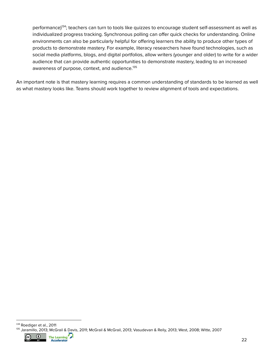performance)<sup>134</sup>; teachers can turn to tools like quizzes to encourage student self-assessment as well as individualized progress tracking. Synchronous polling can offer quick checks for understanding. Online environments can also be particularly helpful for offering learners the ability to produce other types of products to demonstrate mastery. For example, literacy researchers have found technologies, such as social media platforms, blogs, and digital portfolios, allow writers (younger and older) to write for a wider audience that can provide authentic opportunities to demonstrate mastery, leading to an increased awareness of purpose, context, and audience. 135

An important note is that mastery learning requires a common understanding of standards to be learned as well as what mastery looks like. Teams should work together to review alignment of tools and expectations.

<sup>135</sup> Jaramillo, 2013; McGrail & Davis, 2011; McGrail & McGrail, 2013; Vasudevan & Reily, 2013; West, 2008; Witte, 2007 134 Roediger et al., 2011

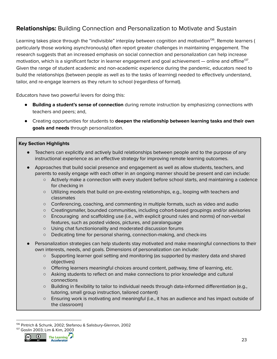### <span id="page-22-0"></span>**Relationships:** Building Connection and Personalization to Motivate and Sustain

Learning takes place through the "indivisible" interplay between cognition and motivation<sup>136</sup>. Remote learners ( particularly those working asynchronously) often report greater challenges in maintaining engagement. The research suggests that an increased emphasis on social connection and personalization can help increase motivation, which is a significant factor in learner engagement and goal achievement — online and offline $^{137}$ . Given the range of student academic and non-academic experience during the pandemic, educators need to build the relationships (between people as well as to the tasks of learning) needed to effectively understand, tailor, and re-engage learners as they return to school (regardless of format).

Educators have two powerful levers for doing this:

- **Building a student's sense of connection** during remote instruction by emphasizing connections with teachers and peers; and,
- Creating opportunities for students to **deepen the relationship between learning tasks and their own goals and needs** through personalization.

### **Key Section Highlights**

- Teachers can explicitly and actively build relationships between people and to the purpose of any instructional experience as an effective strategy for improving remote learning outcomes.
- Approaches that build social presence and engagement as well as allow students, teachers, and parents to easily engage with each other in an ongoing manner should be present and can include:
	- Actively make a connection with every student before school starts, and maintaining a cadence for checking in
	- Utilizing models that build on pre-existing relationships, e.g., looping with teachers and classmates
	- Conferencing, coaching, and commenting in multiple formats, such as video and audio
	- Creatingsmaller, bounded communities, including cohort-based groupings and/or advisories
	- Encouraging and scaffolding use (i.e., with explicit ground rules and norms) of non-verbal features, such as posted videos, pictures, and paralanguage
	- Using chat functionionality and moderated discussion forums
	- Dedicating time for personal sharing, connection-making, and check-ins
- Personalization strategies can help students stay motivated and make meaningful connections to their own interests, needs, and goals. Dimensions of personalization can include:
	- Supporting learner goal setting and monitoring (as supported by mastery data and shared objectives)
	- Offering learners meaningful choices around content, pathway, time of learning, etc.
	- Asking students to reflect on and make connections to prior knowledge and cultural connections
	- Building in flexibility to tailor to individual needs through data-informed differentiation (e.g., tutoring, small group instruction, tailored content)
	- Ensuring work is motivating and meaningful (i.e., it has an audience and has impact outside of the classroom)

<sup>137</sup> Goslin 2003; Lim & Kim, 2003 <sup>136</sup> Pintrich & Schunk, 2002; Stefanou & Salisbury-Glennon, 2002



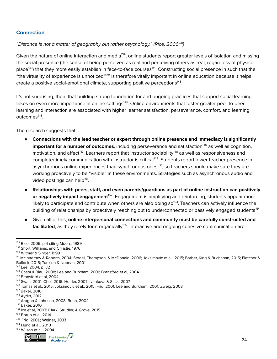### <span id="page-23-0"></span>**Connection**

### "Distance is not a matter of geography but rather psychology." (Rice, 2006<sup>138</sup>)

Given the nature of online interaction and media<sup>139</sup>, online students report greater levels of isolation and missing the social presence (the sense of being perceived as real and perceiving others as real, regardless of physical place<sup>140</sup>) that they more easily establish in face-to-face courses<sup>141</sup>. Constructing social presence in such that the "the virtuality of experience is unnoticed<sup>142</sup>" is therefore vitally important in online education because it helps create a positive social-emotional climate, supporting positive perceptions<sup>143</sup>.

It's not surprising, then, that building strong foundation for and ongoing practices that support social learning takes on even more importance in online settings<sup>144</sup>. Online environments that foster greater peer-to-peer learning and interaction are associated with higher learner satisfaction, perseverance, comfort, and learning outcomes<sup>145</sup>.

The research suggests that:

- **Connections with the lead teacher or expert through online presence and immediacy is significantly important for a number of outcomes**, including perseverance and satisfaction<sup>146</sup> as well as cognition, motivation, and affect<sup>147</sup>. Learners report that instructor sociability<sup>148</sup> as well as responsiveness and complete/timely communication with instructor is critical<sup>149</sup>. Students report lower teacher presence in asynchronous online experiences than synchronous ones<sup>150</sup>, so teachers should make sure they are working proactively to be "visible" in these environments. Strategies such as asynchronous audio and video postings can help<sup>151</sup>.
- **Relationships with peers, staff, and even parents/guardians as part of online instruction can positively or negatively impact engagement'52. Engagement is amplifying and reinforcing; students appear more** likely to participate and contribute when others are also doing so<sup>153</sup>. Teachers can actively influence the building of relationships by proactively reaching out to underconnected or passively engaged students<sup>154</sup>
- Given all of this, **online interpersonal connections and community must be carefully constructed and facilitated**, as they rarely form organically<sup>155</sup>. Interactive and ongoing cohesive communication are

<sup>155</sup> Wilson et al., 2004



<sup>138</sup> Rice, 2006, p 4 citing Moore, 1989

<sup>139</sup> Short, Williams, and Christie, 1976

<sup>&</sup>lt;sup>140</sup> Witmer & Singer, 1998

<sup>141</sup> McInnerney & Roberts, 2004; Stodel, Thompson, & McDonald, 2006; Joksimovic et al., 2015; Barber, King & Buchanan, 2015; Fletcher & Bullock, 2015; Tunison & Noonan, 2001

<sup>142</sup> Lee, 2004, p. 32

<sup>143</sup> Caspi & Blau, 2008; Lee and Burkham, 2001; Bransford et al, 2004

<sup>144</sup> Bransford et al, 2004

<sup>145</sup> Swan, 2001; Choi, 2016; Holder, 2007; Ivankova & Stick, 2007

<sup>146</sup> Tomas et al., 2015; Joksimovic et al., 2015; Frid, 2001; Lee and Burkham, 2001; Zweig, 2003

<sup>147</sup> Baker, 2010

<sup>148</sup> Aydin, 2012

<sup>149</sup> Aragon & Johnson, 2008; Bunn, 2004

<sup>150</sup> Baker, 2010

<sup>151</sup> Ice et al, 2007; Clark, Strudler, & Grove, 2015

<sup>152</sup> Borup et al, 2014

<sup>153</sup> Frid, 2001; Weiner, 2003

<sup>154</sup> Hung et al., 2010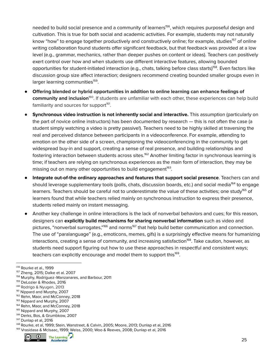needed to build social presence and a community of learners<sup>156</sup>, which requires purposeful design and cultivation. This is true for both social and academic activities. For example, students may not naturally know "how" to engage together productively and constructively online; for example, studies<sup>157</sup> of online writing collaboration found students offer significant feedback, but that feedback was provided at a low level (e.g., grammar, mechanics, rather than deeper pushes on content or ideas). Teachers can positively exert control over how and when students use different interactive features, allowing bounded opportunities for student-initiated interaction (e.g., chats, talking before class starts)<sup>158</sup>. Even factors like discussion group size affect interaction; designers recommend creating bounded smaller groups even in larger learning communities<sup>159</sup>.

- **Offering blended or hybrid opportunities in addition to online learning can enhance feelings of** community and inclusion<sup>160</sup>. If students are unfamiliar with each other, these experiences can help build familiarity and sources for support<sup>161</sup>.
- **Synchronous video instruction is not inherently social and interactive.** This assumption (particularly on the part of novice online instructors) has been documented by research — this is not often the case (a student simply watching a video is pretty passive!). Teachers need to be highly skilled at traversing the real and perceived distance between participants in a videoconference. For example, attending to emotion on the other side of a screen, championing the videoconferencing in the community to get widespread buy-in and support, creating a sense of real presence, and building relationships and fostering interaction between students across sites.<sup>162</sup> Another limiting factor in synchronous learning is time; if teachers are relying on synchronous experiences as the main form of interaction, they may be missing out on many other opportunities to build engagement<sup>163</sup>.
- **Integrate out-of-the ordinary approaches and features that support social presence**. Teachers can and should leverage supplementary tools (polls, chats, discussion boards, etc.) and social media<sup>164</sup> to engage learners. Teachers should be careful not to underestimate the value of these activities; one study<sup>165</sup> of learners found that while teachers relied mainly on synchronous instruction to express their presence, students relied mainly on instant messaging.
- Another key challenge in online interactions is the lack of nonverbal behaviors and cues; for this reason, designers can **explicitly build mechanisms for sharing nonverbal information** such as video and pictures, "nonverbal surrogates,"<sup>166</sup> and norms<sup>167</sup> that help build better communication and connection. The use of "paralanguage" (e.g., emoticons, memes, gifs) is a surprisingly effective means for humanizing interactions, creating a sense of community, and increasing satisfaction<sup>168</sup>. Take caution, however, as students need support figuring out how to use these approaches in respectful and consistent ways; teachers can explicitly encourage and model them to support this<sup>169</sup>.

<sup>&</sup>lt;sup>169</sup> Vrasidasa & McIsaac, 1999; Weiss, 2000; Woo & Reeves, 2008; Dunlap et al, 2016



<sup>156</sup> Rourke et al., 1999

<sup>157</sup> Zheng, 2015; Dalke et al. 2007

<sup>158</sup> Murphy, Rodríguez-Manzanares, and Barbour, 2011

<sup>159</sup> DeLozier & Rhodes, 2016

<sup>&</sup>lt;sup>160</sup> Rodrigo & Nyugen, 2013

<sup>&</sup>lt;sup>161</sup> Nippard and Murphy, 2007

<sup>&</sup>lt;sup>162</sup> Rehn, Maor, and McConney, 2018

<sup>163</sup> Nippard and Murphy, 2007

<sup>&</sup>lt;sup>164</sup> Rehn, Maor, and McConney, 2018

<sup>&</sup>lt;sup>165</sup> Nippard and Murphy, 2007

<sup>166</sup> Derks, Bos, & Grumbkow, 2007

<sup>167</sup> Dunlap et al, 2016

<sup>168</sup> Rourke, et al, 1999; Stein, Wanstreet, & Calvin, 2005; Moore, 2013; Dunlap et al, 2016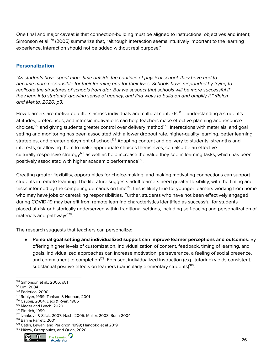One final and major caveat is that connection-building must be aligned to instructional objectives and intent; Simonson et al.<sup>170</sup> (2006) summarize that, "although interaction seems intuitively important to the learning experience, interaction should not be added without real purpose."

### <span id="page-25-0"></span>**Personalization**

"As students have spent more time outside the confines of physical school, they have had to become more responsible for their learning and for their lives. Schools have responded by trying to replicate the structures of schools from afar. But we suspect that schools will be more successful if they lean into students' growing sense of agency, and find ways to build on and amplify it." (Reich and Mehta, 2020, p3)

How learners are motivated differs across individuals and cultural contexts $^{\text{171}}-$  understanding a student's attitudes, preferences, and intrinsic motivations can help teachers make effective planning and resource choices,<sup>172</sup> and giving students greater control over delivery method<sup>173</sup>, interactions with materials, and goal setting and monitoring has been associated with a lower dropout rate, higher-quality learning, better learning strategies, and greater enjoyment of school.<sup>174</sup> Adapting content and delivery to students' strengths and interests, or allowing them to make appropriate choices themselves, can also be an effective culturally-responsive strategy<sup>175</sup> as well as help increase the value they see in learning tasks, which has been positively associated with higher academic performance $^{176}$ .

Creating greater flexibility, opportunities for choice-making, and making motivating connections can support students in remote learning. The literature suggests adult learners need greater flexibility, with the timing and tasks informed by the competing demands on time $^{\text{177}}$ ; this is likely true for younger learners working from home who may have jobs or caretaking responsibilities. Further, students who have not been effectively engaged during COVID-19 may benefit from remote learning characteristics identified as successful for students placed-at-risk or historically underserved within traditional settings, including self-pacing and personalization of materials and pathways<sup>178</sup>.

The research suggests that teachers can personalize:

● **Personal goal setting and individualized support can improve learner perceptions and outcomes**. By offering higher levels of customization, individualization of content, feedback, timing of learning, and goals, individualized approaches can increase motivation, perseverance, a feeling of social presence, and commitment to completion<sup>179</sup>. Focused, individualized instruction (e.g., tutoring) yields consistent, substantial positive effects on learners (particularly elementary students)<sup>180</sup>.

<sup>180</sup> Nikow, Oreopoulos, and Quan, 2020



<sup>170</sup> Simonson et al., 2006, p81

<sup>171</sup> Lim, 2004

<sup>172</sup> Federico, 2000

<sup>173</sup> Roblyer, 1999; Tunison & Noonan, 2001

<sup>174</sup> Czubaj, 2004; Deci & Ryan, 1985

<sup>175</sup> Mader and Lynch, 2020

<sup>176</sup> Pintrich, 1999

<sup>177</sup> Ivankova & Stick, 2007; Nash, 2005; Müller, 2008; Bunn 2004

<sup>178</sup> Barr & Parrett, 2001

<sup>179</sup> Catlin, Lewan, and Perignon, 1999; Handoko et al 2019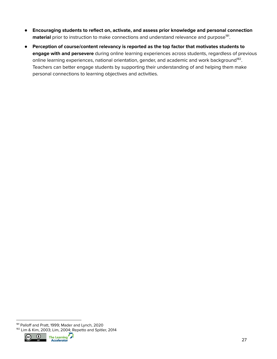- **Encouraging students to reflect on, activate, and assess prior knowledge and personal connection** material prior to instruction to make connections and understand relevance and purpose<sup>181</sup>.
- **Perception of course/content relevancy is reported as the top factor that motivates students to engage with and persevere** during online learning experiences across students, regardless of previous online learning experiences, national orientation, gender, and academic and work background<sup>182</sup>. Teachers can better engage students by supporting their understanding of and helping them make personal connections to learning objectives and activities.

<sup>182</sup> Lim & Kim, 2003; Lim, 2004; Repetto and Spitler, 2014 181 Palloff and Pratt, 1999; Mader and Lynch, 2020



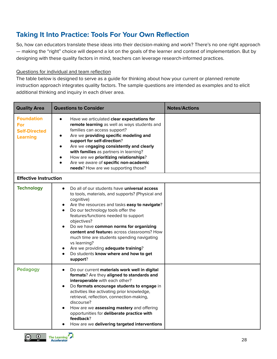# <span id="page-27-0"></span>**Taking It Into Practice: Tools For Your Own Reflection**

So, how can educators translate these ideas into their decision-making and work? There's no one right approach — making the "right" choice will depend a lot on the goals of the learner and context of implementation. But by designing with these quality factors in mind, teachers can leverage research-informed practices.

#### Questions for individual and team reflection

The table below is designed to serve as a guide for thinking about how your current or planned remote instruction approach integrates quality factors. The sample questions are intended as examples and to elicit additional thinking and inquiry in each driver area.

| <b>Quality Area</b>                                                 | <b>Questions to Consider</b>                                                                                                                                                                                                                                                                                                                                                                                                                                                                                          | <b>Notes/Actions</b> |  |  |
|---------------------------------------------------------------------|-----------------------------------------------------------------------------------------------------------------------------------------------------------------------------------------------------------------------------------------------------------------------------------------------------------------------------------------------------------------------------------------------------------------------------------------------------------------------------------------------------------------------|----------------------|--|--|
| <b>Foundation</b><br>For<br><b>Self-Directed</b><br><b>Learning</b> | Have we articulated clear expectations for<br>remote learning as well as ways students and<br>families can access support?<br>Are we providing specific modeling and<br>support for self-direction?<br>Are we engaging consistently and clearly<br>with families as partners in learning?<br>How are we prioritizing relationships?<br>Are we aware of specific non-academic<br>needs? How are we supporting those?                                                                                                   |                      |  |  |
| <b>Effective Instruction</b>                                        |                                                                                                                                                                                                                                                                                                                                                                                                                                                                                                                       |                      |  |  |
| <b>Technology</b>                                                   | Do all of our students have <b>universal access</b><br>to tools, materials, and supports? (Physical and<br>cognitive)<br>Are the resources and tasks easy to navigate?<br>Do our technology tools offer the<br>features/functions needed to support<br>objectives?<br>Do we have common norms for organizing<br>content and features across classrooms? How<br>much time are students spending navigating<br>vs learning?<br>Are we providing adequate training?<br>Do students know where and how to get<br>support? |                      |  |  |
| <b>Pedagogy</b>                                                     | Do our current materials work well in digital<br>$\bullet$<br>formats? Are they aligned to standards and<br>interoperable with each other?<br>Do formats encourage students to engage in<br>activities like activating prior knowledge,<br>retrieval, reflection, connection-making,<br>discourse?<br>How are we assessing mastery and offering<br>opportunities for deliberate practice with<br>feedback?<br>How are we delivering targeted interventions                                                            |                      |  |  |

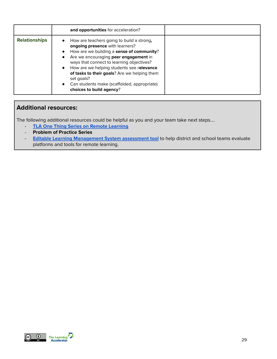|                      | and opportunities for acceleration?                                                                                                                                                                                                                                                                                                                                                                                |  |
|----------------------|--------------------------------------------------------------------------------------------------------------------------------------------------------------------------------------------------------------------------------------------------------------------------------------------------------------------------------------------------------------------------------------------------------------------|--|
| <b>Relationships</b> | How are teachers going to build a strong,<br>ongoing presence with learners?<br>How are we building a sense of community?<br>Are we encouraging peer engagement in<br>ways that connect to learning objectives?<br>How are we helping students see relevance<br>$\bullet$<br>of tasks to their goals? Are we helping them<br>set goals?<br>Can students make (scaffolded, appropriate)<br>choices to build agency? |  |

### <span id="page-28-0"></span>**Additional resources:**

The following additional resources could be helpful as you and your team take next steps….

- **TLA One Thing Series on Remote [Learning](https://practices.learningaccelerator.org/insights?topic=tla-one-thing)**
- **Problem of Practice Series**
- **Editable Learning [Management](https://docs.google.com/spreadsheets/d/1d9rbQMhXH87ltPM4LIHxXAn0mrtriiOCEf4TuPj_4rg/edit?usp=sharing) System assessment tool** to help district and school teams evaluate platforms and tools for remote learning.



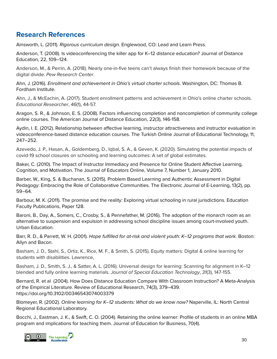### <span id="page-29-0"></span>**Research References**

Ainsworth, L. (2011). Rigorous curriculum design. Englewood, CO: Lead and Learn Press.

Anderson, T. (2008). Is videoconferencing the killer app for K–12 distance education? Journal of Distance Education, 22, 109–124.

Anderson, M., & Perrin, A. (2018). Nearly one-in-five teens can't always finish their homework because of the digital divide. Pew Research Center.

Ahn, J. (2016). Enrollment and achievement in Ohio's virtual charter schools. Washington, DC: Thomas B. Fordham Institute.

Ahn, J., & McEachin, A. (2017). Student enrollment patterns and achievement in Ohio's online charter schools. Educational Researcher, 46(1), 44-57.

Aragon, S. R., & Johnson, E. S. (2008). Factors influencing completion and noncompletion of community college online courses. The American Journal of Distance Education, 22(3), 146-158.

Aydin, I. E. (2012). Relationship between affective learning, instructor attractiveness and instructor evaluation in videoconference-based distance education courses. The Turkish Online Journal of Educational Technology, 11, 247–252.

Azevedo, J. P., Hasan, A., Goldemberg, D., Iqbal, S. A., & Geven, K. (2020). Simulating the potential impacts of covid-19 school closures on schooling and learning outcomes: A set of global estimates.

Baker, C. (2010). The Impact of Instructor Immediacy and Presence for Online Student Affective Learning, Cognition, and Motivation. The Journal of Educators Online, Volume 7, Number 1, January 2010.

Barber, W., King, S. & Buchanan, S. (2015). Problem Based Learning and Authentic Assessment in Digital Pedagogy: Embracing the Role of Collaborative Communities. The Electronic Journal of E-Learning, 13(2), pp. 59–64.

Barbour, M. K. (2011). The promise and the reality: Exploring virtual schooling in rural jurisdictions. Education Faculty Publications, Paper 128.

Baroni, B., Day, A., Somers, C., Crosby, S., & Pennefather, M. (2016). The adoption of the monarch room as an alternative to suspension and expulsion in addressing school discipline issues among court-involved youth. Urban Education.

Barr, R. D., & Parrett, W. H. (2001). Hope fulfilled for at-risk and violent youth: K-12 programs that work. Boston: Allyn and Bacon.

Basham, J. D., Stahl, S., Ortiz, K., Rice, M. F., & Smith, S. (2015). Equity matters: Digital & online learning for students with disabilities. Lawrence,

Basham, J. D., Smith, S. J., & Satter, A. L. (2016). Universal design for learning: Scanning for alignment in K–12 blended and fully online learning materials. Journal of Special Education Technology, 31(3), 147-155.

Bernard, R. et al (2004). How Does Distance Education Compare With Classroom Instruction? A Meta-Analysis of the Empirical Literature. Review of Educational Research, 74(3), 379–439. <https://doi.org/10.3102/00346543074003379>

Blomeyer, R. (2002). Online learning for K-12 students: What do we know now? Naperville, IL: North Central Regional Educational Laboratory.

Bocchi, J., Eastman, J. K., & Swift, C. O. (2004). Retaining the online learner: Profile of students in an online MBA program and implications for teaching them. Journal of Education for Business, 70(4).

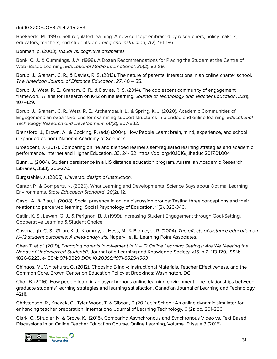doi:10.3200/JOEB.79.4.245-253

Boekaerts, M. (1997). Self-regulated learning: A new concept embraced by researchers, policy makers, educators, teachers, and students. Learning and instruction, 7(2), 161-186.

Bohman, p. (2003). Visual vs. cognitive disabilities.

Bonk, C. J., & Cummings, J. A. (1998). A Dozen Recommendations for Placing the Student at the Centre of Web‐Based Learning. Educational Media International, 35(2), 82-89.

Borup, J., Graham, C. R., & Davies, R. S. (2013). The nature of parental interactions in an online charter school. The American Journal of Distance Education, 27, 40 – 55.

Borup, J., West, R. E., Graham, C. R., & Davies, R. S. (2014). The adolescent community of engagement framework: A lens for research on K-12 online learning. Journal of Technology and Teacher Education, 22(1), 107–129.

Borup, J., Graham, C. R., West, R. E., Archambault, L., & Spring, K. J. (2020). Academic Communities of Engagement: an expansive lens for examining support structures in blended and online learning. Educational Technology Research and Development, 68(2), 807-832.

Bransford, J., Brown, A., & Cocking, R. (eds) (2004). How People Learn: brain, mind, experience, and school (expanded edition). National Academy of Sciences.

Broadbent, J. (2017). Comparing online and blended learner's self-regulated learning strategies and academic performance. Internet and Higher Education, 33, 24- 32. <https://doi.org/10.1016/j.iheduc.2017.01.004>

Bunn, J. (2004). Student persistence in a LIS distance education program. Australian Academic Research Libraries, 35(3), 253-270.

Burgstahler, s. (2005). Universal design of instruction.

Cantor, P., & Gomperts, N. (2020). What Learning and Developmental Science Says about Optimal Learning Environments. State Education Standard, 20(2), 12.

Caspi, A., & Blau, I. (2008). Social presence in online discussion groups: Testing three conceptions and their relations to perceived learning. Social Psychology of Education, 11(3), 323-346.

Catlin, K. S., Lewan, G. J., & Perignon, B. J. (1999). Increasing Student Engagement through Goal-Setting, Cooperative Learning & Student Choice.

Cavanaugh, C. S., Gillan, K. J., Kromrey, J., Hess, M., & Blomeyer, R. (2004). The effects of distance education on K–12 student outcomes: A meta-analy- sis. Naperville, IL: Learning Point Associates.

Chen T. et al. (2019), Engaging parents Involvement in  $K - 12$  Online Learning Settings: Are We Meeting the Needs of Underserved Students?, Journal of e-Learning and Knowledge Society, v.15, n.2, 113-120. ISSN: 1826-6223, e-ISSN:1971-8829 DOI: 10.20368/1971-8829/1563

Chingos, M., Whitehurst, G. (2012). Choosing Blindly: Instructional Materials, Teacher Effectiveness, and the Common Core. Brown Center on Education Policy at Brookings: Washington, DC.

Choi, B. (2016). How people learn in an asynchronous online learning environment: The relationships between graduate students' learning strategies and learning satisfaction. Canadian Journal of Learning and Technology, 42(1).

Christensen, R., Knezek, G., Tyler-Wood, T. & Gibson, D (2011). simSchool: An online dynamic simulator for enhancing teacher preparation. International Journal of Learning Technology. 6 (2): pp. 201-220.

Clark, C., Strudler, N. & Grove, K. (2015). Comparing Asynchronous and Synchronous Video vs. Text Based Discussions in an Online Teacher Education Course. Online Learning, Volume 19 Issue 3 (2015)

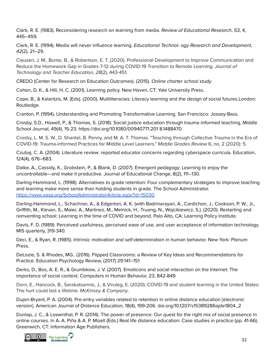Clark, R. E. (1983). Reconsidering research on learning from media. Review of Educational Research, 53, 4, 445–459.

Clark, R. E. (1994). Media will never influence learning. Educational Technol- ogy Research and Development, 42(2), 21–29.

Clausen, J. M., Bunte, B., & Robertson, E. T. (2020). Professional Development to Improve Communication and Reduce the Homework Gap in Grades 7-12 during COVID-19 Transition to Remote Learning. Journal of Technology and Teacher Education, 28(2), 443-451.

CREDO (Center for Research on Education Outcomes). (2015). Online charter school study.

Cohen, D. K., & Hill, H. C. (2001). Learning policy. New Haven, CT: Yale University Press.

Cope, B., & Kalantzis, M. (Eds). (2000). Multiliteracies: Literacy learning and the design of social futures.London: Routledge.

Cranton, P. (1994). Understanding and Promoting Transformative Learning. San Francisco: Jossey-Bass.

Crosby, S.D., Howell, P., & Thomas, S. (2018). Social justice education through trauma informed teaching, Middle School Journal, 49(4), 15-23. https://doi.org/10.1080/00940771.201 8.1488470

Crosby, L. M. S. W., D. Shantel, B. Penny, and M. A. T. Thomas. "Teaching through Collective Trauma in the Era of COVID-19: Trauma-informed Practices for Middle Level Learners." Middle Grades Review 6, no. 2 (2020): 5.

Czubaj, C. A. (2004). Literature review: reported educator concerns regarding cyberspace curricula. Education, 124(4), 676–683.

Dalke, A., Cassidy, K., Grobstein, P., & Blank, D. (2007). Emergent pedagogy: Learning to enjoy the uncontrollable—and make it productive. Journal of Educational Change, 8(2), 111–130.

Darling-Hammond, L. (1998). Alternatives to grade retention: Four complementary strategies to improve teaching and learning make more sense than holding students in grade. The School Administrator. <https://www.aasa.org/SchoolAdministratorArticle.aspx?id=15030>.

Darling-Hammond, L., Schachner, A., & Edgerton, A. K. (with Badrinarayan, A., Cardichon, J., Cookson, P. W., Jr., Griffith, M., Klevan, S., Maier, A., Martinez, M., Melnick, H., Truong, N., Wojcikiewicz, S.). (2020). Restarting and reinventing school: Learning in the time of COVID and beyond. Palo Alto, CA: Learning Policy Institute.

Davis, F. D. (1989). Perceived usefulness, perceived ease of use, and user acceptance of information technology. MIS quarterly, 319-340.

Deci, E., & Ryan, R. (1985). Intrinsic motivation and self-determination in human behavior. New York: Plenum Press.

DeLozie, S. & Rhodes, MG.. (2016). Flipped Classrooms: a Review of Key Ideas and Recommendations for Practice. Education Psychology Review, (2017) 29:141–151

Derks, D., Bos, A. E. R., & Grumbkow, J. V. (2007). Emoticons and social interaction on the Internet: The importance of social context. Computers in Human Behavior, 23, 842-849.

Dorn, E., Hancock, B., Sarakatsannis, J., & Viruleg, E. (2020). COVID-19 and student learning in the United States: The hurt could last a lifetime. McKinsey & Company.

Dupin-Bryant, P. A. (2004). Pre-entry variables related to retention in online distance education [electronic version]. American Journal of Distance Education, 18(4), 199-206. doi.org/10.1207/s15389286ajde1804\_2

Dunlap, J. C., & Lowenthal, P. R. (2014). The power of presence: Our quest for the right mix of social presence in online courses. In A. A. Piña & A. P. Mizell (Eds.) Real life distance education: Case studies in practice (pp. 41-66). Greenwich, CT: Information Age Publishers.

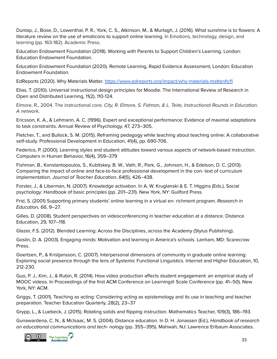Dunlap, J., Bose, D., Lowenthal, P. R., York, C. S., Atkinson, M., & Murtagh, J. (2016). What [sunshine](http://patricklowenthal.com/publications/preprint--A_literature_review_on_the_use_of_emoticons_to_support_online_learning.pdf) is to flowers: A literature review on the use of [emoticons](http://patricklowenthal.com/publications/preprint--A_literature_review_on_the_use_of_emoticons_to_support_online_learning.pdf) to support online learning. In Emotions, technology, design, and learning (pp. 163-182). Academic Press.

Education Endowment Foundation (2018). Working with Parents to Support Children's Learning. London: Education Endowment Foundation.

Education Endowment Foundation (2020). Remote Learning, Rapid Evidence Assessment, London: Education Endowment Foundation.

EdReports (2020). Why Materials Matter. <https://www.edreports.org/impact/why-materials-matter#s11>

Elias, T. (2010). Universal instructional design principles for Moodle. The International Review of Research in Open and Distributed Learning, 11(2), 110-124.

Elmore, R., 2004. The instructional core. City, R. Elmore, S. Fidman, & L. Teite, Instructional Rounds in Education. A network.

Ericsson, K. A., & Lehmann, A. C. (1996). Expert and exceptional performance: Evidence of maximal adaptations to task constraints. Annual Review of Psychology, 47, 273–305.

Fletcher, T., and Bullock, S. M. (2015). Reframing pedagogy while teaching about teaching online: A collaborative self-study. Professional Development in Education, 41(4), pp. 690-706.

Federico, P. (2000). Learning styles and student attitudes toward various aspects of network-based instruction. Computers in Human Behavior, 16(4), 359–379

Fishman, B., Konstantopoulos, S., Kubitskey, B. W., Vath, R., Park, G., Johnson, H., & Edelson, D. C. (2013). Comparing the impact of online and face-to-face professional development in the con- text of curriculum implementation. Journal of Teacher Education, 64(5), 426–438.

Forster, J., & Liberman, N. (2007). Knowledge activation. In A. W. Kruglanski & E. T. Higgins (Eds.), Social psychology: Handbook of basic principles (pp. 201–231). New York, NY: Guilford Press.

Frid, S. (2001) Supporting primary students' online learning in a virtual en- richment program. Research in Education, 66, 9–27.

Gilles, D. (2008). Student perspectives on videoconferencing in teacher education at a distance. Distance Education, 29, 107–118.

Glazer, F.S. (2012). Blended Learning: Across the Disciplines, across the Academy (Stylus Publishing).

Goslin, D. A. (2003). Engaging minds: Motivation and learning in America's schools. Lanham, MD: Scarecrow Press.

Goertzen, P., & Kristjansson, C. (2007). Interpersonal dimensions of community in graduate online learning: Exploring social presence through the lens of Systemic Functional Linguistics. Internet and Higher Education, 10, 212-230.

Guo, P. J., Kim, J., & Rubin, R. (2014). How video production affects student engagement: an empirical study of MOOC videos. In Proceedings of the first ACM Conference on Learning@ Scale Conference (pp. 41–50). New York, NY: ACM.

Griggs, T. (2001). Teaching as acting: Considering acting as epistemology and its use in teaching and teacher preparation. Teacher Education Quarterly, 28(2), 23–37

Grypp, L., & Luebeck, J. (2015). Rotating solids and flipping instruction. Mathematics Teacher, 109(3), 186–193.

Gunawardena, C. N., & McIsaac, M. S. (2004). Distance education. In D. H. Jonassen (Ed.), Handbook of research on educational communications and tech- nology (pp. 355–395). Mahwah, NJ: Lawrence Erlbaum Associates.

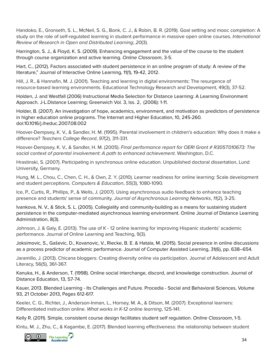Handoko, E., Gronseth, S. L., McNeil, S. G., Bonk, C. J., & Robin, B. R. (2019). Goal setting and mooc completion: A study on the role of self-regulated learning in student performance in massive open online courses. International Review of Research in Open and Distributed Learning, 20(3).

Harrington, S. J., & Floyd, K. S. (2009). Enhancing engagement and the value of the course to the student through course organization and active learning. Online Classroom, 3-5.

Hart, C., (2012). Factors associated with student persistence in an online program of study: A review of the literature," Journal of Interactive Online Learning, 11(1), 19-42, 2012.

Hill, J. R., & Hannafin, M. J. (2001). Teaching and learning in digital environments: The resurgence of resource-based learning environments. Educational Technology Research and Development, 49(3), 37-52.

Holden, J. and Westfall (2006) Instructional Media Selection for Distance Learning: A Learning Environment Approach. [J-L.](https://search.proquest.com/indexinglinkhandler/sng/au/Westfall,+Philip+J-L/$N;jsessionid=223D779E00CB0AC0B4A2E03738BD3488.i-0421651eedac6d93a)Distance Learning; [Greenwich](https://search.proquest.com/pubidlinkhandler/sng/pubtitle/Distance+Learning/$N/29704/OpenView/230696985/$B/E2975B4918BD4320PQ/1;jsessionid=223D779E00CB0AC0B4A2E03738BD3488.i-0421651eedac6d93a) Vol. 3, Iss. 2, [\(2006\):](https://search.proquest.com/indexingvolumeissuelinkhandler/29704/Distance+Learning/02006Y04Y01$232006$3b++Vol.+3+$282$29/3/2;jsessionid=223D779E00CB0AC0B4A2E03738BD3488.i-0421651eedac6d93a) 1-11.

Holder, B. (2007). An investigation of hope, academics, environment, and motivation as predictors of persistence in higher education online programs. The Internet and Higher Education, 10, 245-260. doi:10.1016/j.iheduc.2007.08.002

Hoover-Dempsey, K. V., & Sandler, H. M. (1995). Parental involvement in children's education: Why does it make a difference? Teachers College Record, 97(2), 311-331.

Hoover-Dempsey, K. V., & Sandler, H. M. (2005). Final performance report for OERI Grant # R305T010673: The social context of parental involvement: A path to enhanced achievement. Washington, D.C.

Hrastinski, S. (2007). Participating in synchronous online education. Unpublished doctoral dissertation, Lund University, Germany.

Hung, M. L., Chou, C., Chen, C. H., & Own, Z. Y. (2010). Learner readiness for online learning: Scale development and student perceptions. Computers & Education, 55(3), 1080-1090.

Ice, P., Curtis, R., Phillips, P., & Wells, J. (2007). Using asynchronous audio feedback to enhance teaching presence and students' sense of community. Journal of Asynchronous Learning Networks, 11(2), 3-25.

Ivankova, N. V., & Stick, S. L. (2005). Collegiality and community-building as a means for sustaining student persistence in the computer-mediated asynchronous learning environment. Online Journal of Distance Learning Administration, 8(3).

Johnson, J. & Galy, E. (2013). The use of K - 12 online learning for improving Hispanic students' academic performance. Journal of Online Learning and Teaching, 9(3).

Joksimovic, S., Gaševic, D., Kovanovic, V., Riecke, B. E. & Hatala, M. (2015). Social presence in online discussions as a process predictor of academic performance. Journal of Computer Assisted Learning, 31(6), pp. 638–654.

Jaramillo, J. (2013). Chicana bloggers: Creating diversity online via participation. Journal of Adolescent and Adult Literacy, 56(5), 361-367.

Kanuka, H., & Anderson, T. (1998). Online social interchange, discord, and knowledge construction. Journal of Distance Education, 13, 57-74.

Kauer, 2013. Blended Learning - Its Challenges and Future. Procedia - Social and [Behavioral](https://www.sciencedirect.com/science/journal/18770428) Sciences, [Volume](https://www.sciencedirect.com/science/journal/18770428/93/supp/C) [93,](https://www.sciencedirect.com/science/journal/18770428/93/supp/C) 21 October 2013, Pages 612-617.

Keeler, C. G., Richter, J., Anderson-Inman, L., Horney, M. A., & Ditson, M. (2007). Exceptional learners: Differentiated instruction online. What works in K-12 online learning, 125-141.

Kelly R. (2011). Simple, consistent course design facilitates student self regulation. Online Classroom, 1-5.

Kintu, M. J., Zhu, C., & Kagambe, E. (2017). Blended learning effectiveness: the relationship between student

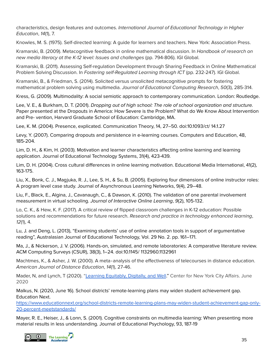characteristics, design features and outcomes. International Journal of Educational Technology in Higher Education, 14(1), 7.

Knowles, M. S. (1975). Self-directed learning: A guide for learners and teachers. New York: Association Press.

Kramarski, B. (2009). Metacognitive feedback in online mathematical discussion. In Handbook of research on new media literacy at the K-12 level: Issues and challenges (pp. 794-806). IGI Global.

Kramarski, B. (2011). Assessing Self-regulation Development through Sharing Feedback in Online Mathematical Problem Solving Discussion. In Fostering self-Regulated Learning through ICT (pp. 232-247). IGI Global.

Kramarski, B., & Friedman, S. (2014). Solicited versus unsolicited metacognitive prompts for fostering mathematical problem solving using multimedia. Journal of Educational Computing Research, 50(3), 285-314.

Kress, G. (2009). Multimodality: A social semiotic approach to contemporary communication. London: Routledge.

Lee, V. E., & Burkham, D. T. (2001). Dropping out of high school: The role of school organization and structure. Paper presented at the Dropouts in America: How Severe is the Problem? What do We Know About Intervention and Pre- vention, Harvard Graduate School of Education: Cambridge, MA.

Lee, K. M. (2004). Presence, explicated. Communication Theory, 14, 27–50. doi:10.1093/ct/ 14.1.27

Levy, Y. (2007). Comparing dropouts and persistence in e-learning courses. Computers and Education, 48, 185-204.

Lim, D. H., & Kim, H. (2003). Motivation and learner characteristics affecting online learning and learning application. Journal of Educational Technology Systems, 31(4), 423-439.

Lim, D. H. (2004). Cross cultural differences in online learning motivation. Educational Media International, 41(2), 163-175.

Liu, X., Bonk, C. J., Magjuka, R. J., Lee, S. H., & Su, B. (2005). Exploring four dimensions of online instructor roles: A program level case study. Journal of Asynchronous Learning Networks, 9(4), 29–48.

Liu, F., Black, E., Algina, J., Cavanaugh, C., & Dawson, K. (2010). The validation of one parental involvement measurement in virtual schooling. Journal of Interactive Online Learning, 9(2), 105-132.

Lo, C. K., & Hew, K. F. (2017). A critical review of flipped classroom challenges in K-12 education: Possible solutions and recommendations for future research. Research and practice in technology enhanced learning, 12(1), 4.

Lu, J. and Deng, L. (2013), "Examining students' use of online annotation tools in support of argumentative reading", Australasian Journal of Educational Technology, Vol. 29 No. 2. pp. 161–171.

Ma, J., & Nickerson, J. V. (2006). Hands-on, simulated, and remote laboratories: A comparative literature review. ACM Computing Surveys (CSUR), 38(3), 1–24. doi:10.1145/ 1132960.1132961

Machtmes, K., & Asher, J. W. (2000). A meta‐analysis of the effectiveness of telecourses in distance education. American Journal of Distance Education, 14(1), 27-46.

Mader, N, and Lynch, T (2020). "Learning [Equitably,](https://static1.squarespace.com/static/53ee4f0be4b015b9c3690d84/t/5ef3935d1db6393dc49cddd7/1593021280562/CNYCA_Learning+Equitably%2C+Digitally%2C+and+Well.pdf) Digitally, and Well." Center for New York City Affairs. June 2020

Malkus, N. (2020, June 16). School districts' remote-learning plans may widen student achievement gap. Education Next.

[https://www.educationnext.org/school-districts-remote-learning-plans-may-widen-student-achievement-gap-only-](https://www.educationnext.org/school-districts-remote-learning-plans-may-widen-student-achievement-gap-only-20-percent-meetstandards/)[20-percent-meetstandards/](https://www.educationnext.org/school-districts-remote-learning-plans-may-widen-student-achievement-gap-only-20-percent-meetstandards/)

Mayer, R. E., Heiser, J., & Lonn, S. (2001). Cognitive constraints on multimedia learning: When presenting more material results in less understanding. Journal of Educational Psychology, 93, 187-19

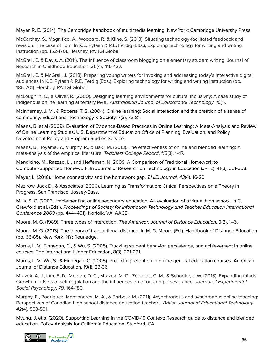Mayer, R. E. (2014). The Cambridge handbook of multimedia learning. New York: Cambridge University Press.

McCarthey, S., Magnifico, A., Woodard, R. & Kline, S. (2013). Situating technology-facilitated feedback and revision: The case of Tom. In K.E. Pytash & R.E. Ferdig (Eds.), Exploring technology for writing and writing instruction (pp. 152-170). Hershey, PA: IGI Global.

McGrail, E. & Davis, A. (2011). The influence of classroom blogging on elementary student writing. Journal of Research in Childhood Education, 25(4), 415-437.

McGrail, E. & McGrail, J. (2013). Preparing young writers for invoking and addressing today's interactive digital audiences In K.E. Pytash & R.E. Ferdig (Eds.), Exploring technology for writing and writing instruction (pp. 186-201). Hershey, PA: IGI Global.

McLoughlin, C., & Oliver, R. (2000). Designing learning environments for cultural inclusivity: A case study of indigenous online learning at tertiary level. Australasian Journal of Educational Technology, 16(1).

McInnerney, J. M., & Roberts, T. S. (2004). Online learning: Social interaction and the creation of a sense of community. Educational Technology & Society, 7(3), 73-81.

Means, B. et al (2009). Evaluation of Evidence-Based Practices in Online Learning: A Meta-Analysis and Review of Online Learning Studies. U.S. Department of Education Office of Planning, Evaluation, and Policy Development Policy and Program Studies Service.

Means, B., Toyama, Y., Murphy, R., & Baki, M. (2013). The effectiveness of online and blended learning: A meta-analysis of the empirical literature. Teachers College Record, 115(3), 1-47.

Mendicino, M., Razzaq, L., and Heffernan, N. 2009. A Comparison of Traditional Homework to Computer-Supported Homework. In Journal of Research on Technology in Education (JRTE), 41(3), 331-358.

Meyer, L. (2016). Home connectivity and the homework gap. T.H.E. Journal, 43(4), 16-20.

Mezirow, Jack D., & Associates (2000). Learning as Transformation: Critical Perspectives on a Theory in Progress. San Francisco: Jossey-Bass.

Mills, S. C. (2003). Implementing online secondary education: An evaluation of a virtual high school. In C. Crawford et al. (Eds.), Proceedings of Society for Information Technology and Teacher Education International Conference 2003 (pp. 444–451). Norfolk, VA: AACE.

Moore, M. G. (1989). Three types of interaction. The American Journal of Distance Education, 3(2), 1–6.

Moore, M. G. (2013). The theory of transactional distance. In M. G. Moore (Ed.). Handbook of Distance Education (pp. 66-85). New York, NY: Routledge.

Morris, L. V., Finnegan, C., & Wu, S. (2005). Tracking student behavior, persistence, and achievement in online courses. The Internet and Higher Education, 8(3), 221-231.

Morris, L. V., Wu, S., & Finnegan, C. (2005). Predicting retention in online general education courses. American Journal of Distance Education, 19(1), 23-36.

Mrazek, A. J., Ihm, E. D., Molden, D. C., Mrazek, M. D., Zedelius, C. M., & Schooler, J. W. (2018). Expanding minds: Growth mindsets of self-regulation and the influences on effort and perseverance. Journal of Experimental Social Psychology, 79, 164-180.

Murphy, E., Rodríguez‐Manzanares, M. A., & Barbour, M. (2011). Asynchronous and synchronous online teaching: Perspectives of Canadian high school distance education teachers. British Journal of Educational Technology, 42(4), 583-591.

Myung, J. et al (2020). Supporting Learning in the COVID-19 Context: Research guide to distance and blended education. Policy Analysis for California Education: Stanford, CA.

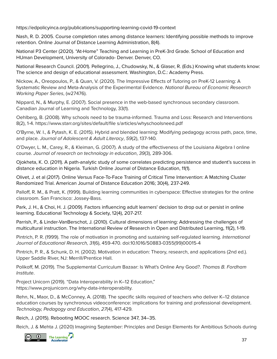https://edpolicyinca.org/publications/supporting-learning-covid-19-context

Nash, R. D. 2005. Course completion rates among distance learners: Identifying possible methods to improve retention. Online Journal of Distance Learning Administration, 8(4).

National P3 Center (2020). "At-Home" Teaching and Learning in PreK-3rd Grade. School of Education and HUman Development, University of Colorado- Denver. Denver, CO.

National Research Council. (2001). Pellegrino, J., Chudowsky, N., & Glaser, R. (Eds.) Knowing what students know: The science and design of educational assessment. Washington, D.C.: Academy Press.

Nickow, A., Oreopoulos, P., & Quan, V. (2020). The Impressive Effects of Tutoring on PreK-12 Learning: A Systematic Review and Meta-Analysis of the Experimental Evidence. National Bureau of Economic Research Working Paper Series, (w27476).

Nippard, N., & Murphy, E. (2007). Social presence in the web-based synchronous secondary classroom. Canadian Journal of Learning and Technology, 33(1).

Oehlberg, B. (2008). Why schools need to be trauma-informed. Trauma and Loss: Research and Interventions 8(2), 1-4. https://www.starr.org/sites/default/file s/articles/whyschoolsneed.pdf

O'Byrne, W. I., & Pytash, K. E. (2015). Hybrid and blended learning: Modifying pedagogy across path, pace, time, and place. Journal of Adolescent & Adult Literacy, 59(2), 137-140.

O'Dwyer, L. M., Carey, R., & Kleiman, G. (2007). A study of the effectiveness of the Louisiana Algebra I online course. Journal of research on technology in education, 39(3), 289-306.

Ojokheta, K. O. (2011). A path-analytic study of some correlates predicting persistence and student's success in distance education in Nigeria. Turkish Online Journal of Distance Education, 11(1).

Olivet, J. et al (2017). Online Versus Face-To-Face Training of Critical Time Intervention: A Matching Cluster Randomized Trial. American Journal of Distance Education 2016; 30(4), 237-249.

Palloff, R. M., & Pratt, K. (1999). Building learning communities in cyberspace: Effective strategies for the online classroom. San Francisco: Jossey-Bass.

Park, J. H., & Choi, H. J. (2009). Factors influencing adult learners' decision to drop out or persist in online learning. Educational Technology & Society, 12(4), 207-217.

Parrish, P., & Linder-VanBerschot, J. (2010). Cultural dimensions of learning: Addressing the challenges of multicultural instruction. The International Review of Research in Open and Distributed Learning, 11(2), 1-19.

Pintrich, P. R. (1999). The role of motivation in promoting and sustaining self-regulated learning. International Journal of Educational Research, 31(6), 459-470. doi:10.1016/S0883-0355(99)00015-4

Pintrich, P. R., & Schunk, D. H. (2002). Motivation in education: Theory, research, and applications (2nd ed.). Upper Saddle River, NJ: Merrill/Prentice Hall.

Polikoff, M. (2019). The Supplemental Curriculum Bazaar: Is What's Online Any Good?. Thomas B. Fordham Institute.

Project Unicorn (2019). "Data Interoperability in K–12 Education," https://www.projunicorn.org/why-data-interoperability.

Rehn, N., Maor, D., & McConney, A. (2018). The specific skills required of teachers who deliver K–12 distance education courses by synchronous videoconference: implications for training and professional development. Technology, Pedagogy and Education, 27(4), 417-429.

Reich, J. (2015). Rebooting MOOC research. Science 347, 34–35.

Reich, J. & Mehta J. (2020) Imagining September: Principles and Design Elements for Ambitious Schools during

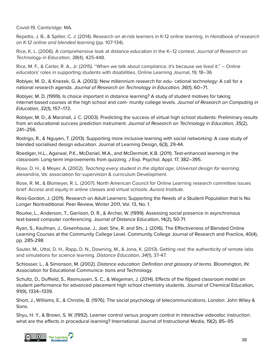Covid-19. Cambridge: MA.

Repetto, J. B., & Spitler, C. J. (2014). Research on at-risk learners in K-12 online learning. In Handbook of research on K-12 online and blended learning (pp. 107-134).

Rice, K. L. (2006). A comprehensive look at distance education in the K–12 context. Journal of Research on Technology in Education, 38(4), 425-448.

Rice, M. F., & Carter, R. A., Jr. (2015). ''When we talk about compliance, it's because we lived it.'' – Online educators' roles in supporting students with disabilities. Online Learning Journal, 19, 18–36

Roblyer, M. D., & Knezek, G. A. (2003). New millennium research for edu- cational technology: A call for a national research agenda. Journal of Research on Technology in Education, 36(1), 60–71.

Roblyer, M. D. (1999). Is choice important in distance learning? A study of student motives for taking internet-based courses at the high school and com- munity college levels. Journal of Research on Computing in Education, 32(1), 157–172.

Roblyer, M. D., & Marshall, J. C. (2003). Predicting the success of virtual high school students: Preliminary results from an educational success prediction instrument. Journal of Research on Technology in Education, 35(2), 241–256.

Rodrigo, R., & Nguyen, T. (2013). Supporting more inclusive learning with social networking: A case study of blended socialised design education. Journal of Learning Design, 6(3), 29-44.

Roediger, H.L., Agarwal, P.K., McDaniel, M.A., and McDermott, K.B. (2011). [Test-enhanced](https://psycnet.apa.org/record/2011-26204-001?doi=1) learning in the classroom: Long-term [improvements](https://psycnet.apa.org/record/2011-26204-001?doi=1) from quizzing. J Exp. Psychol. Appl. 17, 382–395.

Rose, D. H., & Meyer, A. (2002). Teaching every student in the digital age: Universal design for learning. alexandria, Va: association for supervision & curriculum Development.

Rose, R. M., & Blomeyer, R. L. (2007). North American Council for Online Learning research committee issues brief: Access and equity in online classes and virtual schools. Aurora Institute.

Ross-Gordon, J. (2011). Research on Adult Learners: Supporting the Needs of a Student Population that Is No Longer Nontraditional. Peer Review, Winter 2011, Vol. 13, No. 1.

Rourke, L., Anderson, T., Garrison, D. R., & Archer, W. (1999). Assessing social presence in asynchronous text-based computer conferencing. Journal of Distance Education, 14(2), 50-71.

Ryan, S., Kaufman, J., Greenhouse, J., Joel; She, R. and Shi, J. (2016). The Effectiveness of Blended Online Learning Courses at the Community College Level. Community College Journal of Research and Practice, 40(4), pp. 285-298.

Sauter, M., Uttal, D. H., Rapp, D. N., Downing, M., & Jona, K. (2013). Getting real: the authenticity of remote labs and simulations for science learning. Distance Education, 34(1), 37-47.

Schlosser, L., & Simonson, M. (2002). Distance education: Definition and glossary of terms. Bloomington, IN: Association for Educational Communica- tions and Technology.

Schultz, D., Duffield, S., Rasmussen, S. C., & Wageman, J. (2014). Effects of the flipped classroom model on student performance for advanced placement high school chemistry students. Journal of Chemical Education, 91(9), 1334–1339.

Short, J., Williams, E., & Christie, B. (1976). The social psychology of telecommunications. London: John Wiley & Sons.

Shyu, H. Y., & Brown, S. W. (1992). Learner control versus program control in interactive videodisc instruction: what are the effects in procedural learning? International Journal of Instructional Media, 19(2), 85–95

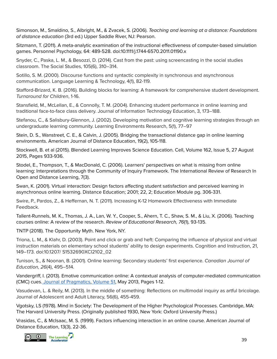Simonson, M., Smaldino, S., Albright, M., & Zvacek, S. (2006). Teaching and learning at a distance: Foundations of distance education (3rd ed.) Upper Saddle River, NJ: Pearson.

Sitzmann, T. (2011). A meta-analytic examination of the instructional effectiveness of computer-based simulation games. Personnel Psychology, 64: 489-528. doi[:10.1111/j.1744-6570.2011.01190.x](https://doi.org/10.1111/j.1744-6570.2011.01190.x)

Snyder, C., Paska, L. M., & Besozzi, D. (2014). Cast from the past: using screencasting in the social studies classroom. The Social Studies, 105(6), 310–314.

Sotillo, S. M. (2000). Discourse functions and syntactic complexity in synchronous and asynchronous communication. Language Learning & Technology, 4(1), 82-119.

Stafford-Brizard, K. B. (2016). Building blocks for learning: A framework for comprehensive student development. Turnaround for Children, 1-16.

Stansfield, M., McLellan, E., & Connolly, T. M. (2004). Enhancing student performance in online learning and traditional face-to-face class delivery. Journal of Information Technology Education, 3, 173–188.

Stefanou, C., & Salisbury-Glennon, J. (2002). Developing motivation and cognitive learning strategies through an undergraduate learning community. Learning Environments Research, 5(1), 77–97

Stein, D. S., Wanstreet, C. E., & Calvin, J. (2005). Bridging the transactional distance gap in online learning environments. American Journal of Distance Education, 19(2), 105-118.

Stockwell, B. et al (2015). Blended Learning Improves Science Education. Cell, [Volume](https://www.sciencedirect.com/science/journal/00928674/162/5) 162, Issue 5, 27 August 2015, Pages 933-936.

Stodel, E., Thompson, T., & MacDonald, C. (2006). Learners' perspectives on what is missing from online learning: Interpretations through the Community of Inquiry Framework. The International Review of Research In Open and Distance Learning, 7(3).

Swan, K. (2001). Virtual interaction: Design factors affecting student satisfaction and perceived learning in asynchronous online learning. Distance Education; 2001; 22, 2; Education Module pg. 306-331.

Swire, P., Pardos, Z., & Heffernan, N. T. (2011). Increasing K-12 Homework Effectiveness with Immediate Feedback.

Tallent-Runnels, M. K., Thomas, J. A., Lan, W. Y., Cooper, S., Ahern, T. C., Shaw, S. M., & Liu, X. (2006). Teaching courses online: A review of the research. Review of Educational Research, 76(1), 93-135.

TNTP (2018). The Opportunity Myth. New York, NY.

Triona, L. M., & Klahr, D. (2003). Point and click or grab and heft: Comparing the influence of physical and virtual instruction materials on elementary school students' ability to design experiments. Cognition and Instruction, 21, 149–173. doi:10.1207/ S1532690XCI2102\_02

Tunison, S., & Noonan, B. (2001). Online learning: Secondary students' first experience. Canadian Journal of Education, 26(4), 495–514.

Vandergriff, I. (2013). Emotive communication online: A contextual analysis of computer-mediated communication (CMC) cues. Journal of [Pragmatics,](https://www.sciencedirect.com/science/journal/03782166) [Volume](https://www.sciencedirect.com/science/journal/03782166/51/supp/C) 51, May 2013, Pages 1-12.

Vasudevan, L. & Reily, M. (2013). In the middle of something: Reflections on multimodal inquiry as artful bricolage. Journal of Adolescent and Adult Literacy, 56(6), 455-459.

Vgotsky, LS (1978). Mind in Society: The Development of the Higher Psychological Processes. Cambridge, MA: The Harvard University Press. (Originally published 1930, New York: Oxford University Press.)

Vrasidas, C., & McIsaac, M. S. (1999). Factors influencing interaction in an online course. American Journal of Distance Education, 13(3), 22-36.

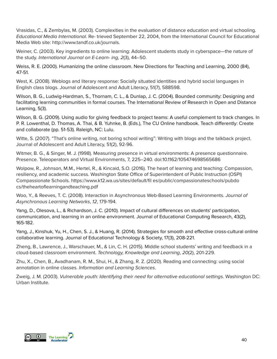Vrasidas, C., & Zembylas, M. (2003). Complexities in the evaluation of distance education and virtual schooling. Educational Media International. Re- trieved September 22, 2004, from the International Council for Educational Media Web site: http://www.tandf.co.uk/journals.

Weiner, C. (2003). Key ingredients to online learning: Adolescent students study in cyberspace—the nature of the study. International Journal on E-Learn- ing, 2(3), 44–50.

Weiss, R. E. (2000). Humanizing the online classroom. New Directions for Teaching and Learning, 2000 (84), 47-51.

West, K. (2008). Weblogs and literary response: Socially situated identities and hybrid social languages in English class blogs. Journal of Adolescent and Adult Literacy, 51(7), 588598.

Wilson, B. G., Ludwig-Hardman, S., Thornam, C. L., & Dunlap, J. C. (2004). Bounded community: Designing and facilitating lear[ni](http://www.irrodl.org/index.php/irrodl/article/viewArticle/204)ng communities in formal courses. The International Review of Research in Open and Distance Learning, 5(3).

Wilson, B. G. (2009). Using audio for giving feedback to project teams: A useful complement to track changes. In P. R. Lowenthal, D. Thomas, A. Thai, & B. Yuhnke, B. (Eds.), The CU Online handbook. Teach differently: Create and collaborate (pp. 51-53). Raleigh, NC: Lulu.

Witte, S. (2007). "That's online writing, not boring school writing": Writing with blogs and the talkback project. Journal of Adolescent and Adult Literacy, 51(2), 92-96.

Witmer, B. G., & Singer, M. J. (1998). Measuring presence in virtual environments: A presence questionnaire. Presence. Teleoperators and Virtual Environments, 7, 225–240. doi:10.1162/105474698565686

Wolpow, R., Johnson, M.M., Hertel, R., & Kincaid, S.O. (2016). The heart of learning and teaching: Compassion, resiliency, and academic success. Washington State Office of Superintendent of Public Instruction (OSPI) Compassionate Schools. https://www.k12.wa.us/sites/default/fil es/public/compassionateschools/pubdo cs/theheartoflearningandteaching.pdf

Woo, Y., & Reeves, T. C. (2008). Interaction in Asynchronous Web-Based Learning Environments. Journal of Asynchronous Learning Networks, 12, 179-194.

Yang, D., Olesova, L., & Richardson, J. C. (2010). Impact of cultural differences on students' participation, communication, and learning in an online environment. Journal of Educational Computing Research, 43(2), 165-182.

Yang, J., Kinshuk, Yu, H., Chen, S. J., & Huang, R. (2014). Strategies for smooth and effective cross-cultural online collaborative learning. Journal of Educational Technology & Society, 17(3), 208-221.

Zheng, B., Lawrence, J., Warschauer, M., & Lin, C. H. (2015). Middle school students' writing and feedback in a cloud-based classroom environment. Technology, Knowledge and Learning, 20(2), 201-229.

Zhu, X., Chen, B., Avadhanam, R. M., Shui, H., & Zhang, R. Z. (2020). Reading and connecting: using social annotation in online classes. Information and Learning Sciences.

Zweig, J. M. (2003). Vulnerable youth: Identifying their need for alternative educational settings. Washington DC: Urban Institute.